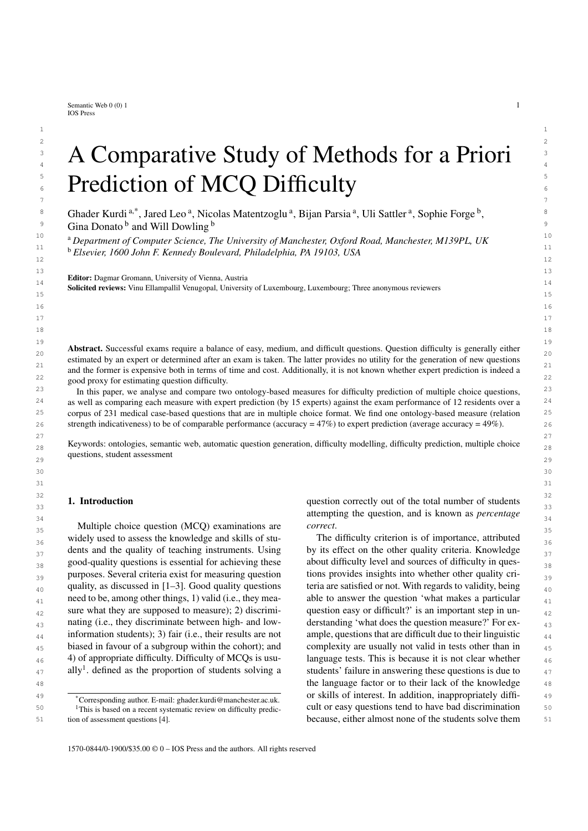Semantic Web  $0(0)$  1 1 IOS Press

# $2 \times 2$  $3$   $\Delta$  Comparative Study of Methods for a Priori  $3$ <sup>3</sup> A Comparative Study of Methods for a Priori<sup>3</sup>  $\frac{5}{2}$  **D**  $\frac{1}{2}$ ,  $\frac{1}{2}$   $\frac{1}{2}$   $\frac{1}{2}$   $\frac{1}{2}$   $\frac{1}{2}$   $\frac{1}{2}$   $\frac{1}{2}$   $\frac{1}{2}$   $\frac{1}{2}$   $\frac{1}{2}$   $\frac{1}{2}$   $\frac{1}{2}$   $\frac{1}{2}$   $\frac{1}{2}$   $\frac{1}{2}$   $\frac{1}{2}$   $\frac{1}{2}$   $\frac{1}{2}$   $\frac{1}{2}$   $\frac{1}{$ 6 6 Prediction of MCQ Difficulty <sup>7</sup> 7 and 2008 **7** and 2008 **7** and 2008 **7** and 2008 **7** and 2008 **7** and 2008 **7** and 2008 **7** and 2008 **7** and 2008 **7** and 2008 **7** and 2008 **7** and 2008 **7** and 2008 **7** and 2008 **7** and 2008 **7** and 2008 **7** and 2008

<sup>8</sup> Ghader Kurdi<sup>[a,](#page-0-0)[\\*](#page-0-1)</sup>, J[a](#page-0-0)red Leo<sup>a</sup>, Nicolas Matentzoglu<sup>a</sup>, Bijan Parsia<sup>a</sup>, Uli Sattler<sup>a</sup>, Sophie Forge<sup>[b](#page-0-2)</sup>, <sup>9</sup> Gina Donato  $\frac{1}{2}$  and Will Dowling  $\frac{1}{2}$ 

10 10 <sup>a</sup> *Department of Computer Science, The University of Manchester, Oxford Road, Manchester, M139PL, UK*  $\frac{11}{11}$   $\frac{11}{11}$   $\frac{11}{11}$   $\frac{11}{11}$   $\frac{11}{11}$   $\frac{11}{11}$   $\frac{11}{11}$   $\frac{11}{11}$   $\frac{11}{11}$   $\frac{11}{11}$   $\frac{11}{11}$ <sup>11</sup> **b** *Elsevier, 1600 John F. Kennedy Boulevard, Philadelphia, PA 19103, USA* **12<br>12** 

<span id="page-0-2"></span><span id="page-0-0"></span>

Editor: Dagmar Gromann, University of Vienna, Austria

14 14 Solicited reviews: Vinu Ellampallil Venugopal, University of Luxembourg, Luxembourg; Three anonymous reviewers 15 15

**20 Abstract.** Successful exams require a balance of easy, medium, and difficult questions. Question difficulty is generally either  $\frac{20}{20}$ <sup>21</sup> and the former is expensive both in terms of time and cost. Additionally, it is not known whether expert prediction is indeed a<sup>21</sup> <sup>22</sup> good proxy for estimating question difficulty.<sup>22</sup> good proxy for estimating question difficulty. estimated by an expert or determined after an exam is taken. The latter provides no utility for the generation of new questions

<sup>23</sup> In this paper, we analyse and compare two ontology-based measures for difficulty prediction of multiple choice questions, <sup>23</sup> as well as comparing each measure with expert prediction (by 15 experts) against the exam performance of 12 residents over a  $24$  25 corpus of 231 medical case-based questions that are in multiple choice format. We find one ontology-based measure (relation 26 strength indicativeness) to be of comparable performance (accuracy = 47%) to expert prediction (average accuracy = 49%).

 $_{28}$  Keywords: ontologies, semantic web, automatic question generation, difficulty modelling, difficulty prediction, multiple choice  $_{28}$  $29$   $3$ questions, student assessment

# 1. Introduction

Multiple choice question (MCQ) examinations are *correct*. need to be, among other things, 1) valid (i.e., they meanating (i.e., they discriminate between high- and low-

 $\frac{32}{22}$  **1. Introduction 1. Solution 1. Solution 1. Solution 1. Solution 1. Solution 1.** Solution **1.** Solution **1.** Solution **1.** Solution **1.** Solution **1.** Solution **1.** Solution **1.** Solution **1.** Solu 33 **33 11 Exercisely** but of the total number of statements 33 34 34 attempting the question, and is known as *percentage correct*.

 $_{36}$  widely used to assess the knowledge and skills of stu-<br> $_{36}$  The difficulty criterion is of importance, attributed  $37$  dents and the quality of teaching instruments. Using by its effect on the other quality criteria. Knowledge  $37$  $38$  good-quality questions is essential for achieving these about difficulty level and sources of difficulty in ques- $_{39}$  purposes. Several criteria exist for measuring question tions provides insights into whether other quality cri- $_{40}$  quality, as discussed in [\[1](#page-14-0)[–3\]](#page-14-1). Good quality questions teria are satisfied or not. With regards to validity, being  $_{40}$  $_{41}$  need to be, among other things, 1) valid (i.e., they mea-<br>able to answer the question 'what makes a particular <sup>42</sup> sure what they are supposed to measure); 2) discrimi- question easy or difficult?' is an important step in unnating (i.e., they discriminate between high- and low-derstanding 'what does the question measure?' For ex-<sup>44</sup> information students); 3) fair (i.e., their results are not ample, questions that are difficult due to their linguistic <sup>44</sup>  $_{45}$  biased in favour of a subgroup within the cohort); and complexity are usually not valid in tests other than in  $_{45}$ 46 4) of appropriate difficulty. Difficulty of MCQs is usu-<br>anguage tests. This is because it is not clear whether  $_{47}$  ally<sup>[1](#page-0-1)</sup>. defined as the proportion of students solving a students' failure in answering these questions is due to  $_{47}$ <sup>48</sup> the language factor or to their lack of the knowledge <sup>48</sup> <sup>49</sup>  $\frac{1}{2}$   $\frac{1}{2}$  for several time is the detail sheder kurdi@manchester.co.uk or skills of interest. In addition, inappropriately diffi-<sup>50</sup> <sup>1</sup>This is based on a recent systematic review on difficulty predictional cult or easy questions tend to have bad discrimination <sup>50</sup> 51 51 because, either almost none of the students solve them The difficulty criterion is of importance, attributed by its effect on the other quality criteria. Knowledge about difficulty level and sources of difficulty in questions provides insights into whether other quality criteria are satisfied or not. With regards to validity, being question easy or difficult?' is an important step in unample, questions that are difficult due to their linguistic complexity are usually not valid in tests other than in language tests. This is because it is not clear whether students' failure in answering these questions is due to

<span id="page-0-1"></span><sup>\*</sup>Corresponding author. E-mail: [ghader.kurdi@manchester.ac.uk.](mailto:ghader.kurdi@manchester.ac.uk) <sup>1</sup>This is based on a recent systematic review on difficulty prediction of assessment questions [\[4\]](#page-14-2).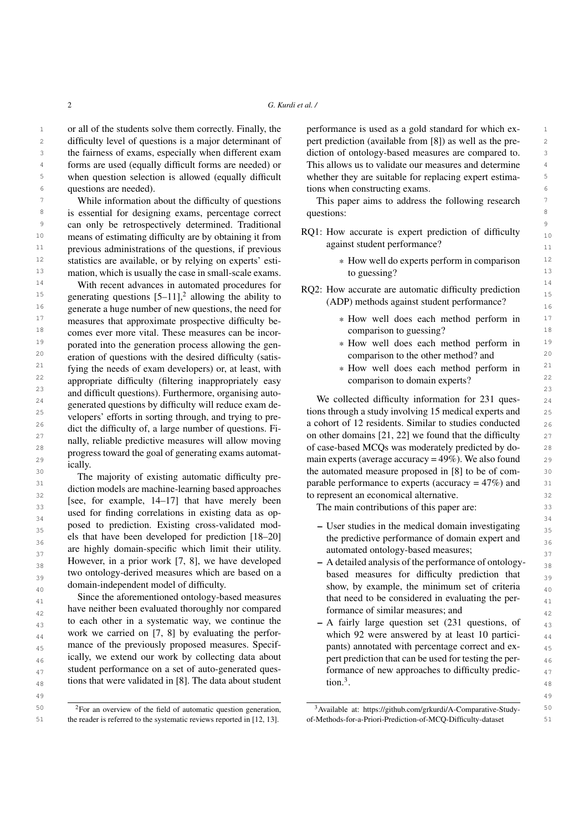1 or all of the students solve them correctly. Finally, the performance is used as a gold standard for which ex-2 difficulty level of questions is a major determinant of pert prediction (available from [8]) as well as the pre-3 3 the fairness of exams, especially when different exam <sup>4</sup> forms are used (equally difficult forms are needed) or This allows us to validate our measures and determine <sup>5</sup> when question selection is allowed (equally difficult whether they are suitable for replacing expert estima-<sup>6</sup> questions are needed). when question selection is allowed (equally difficult questions are needed).

<sup>7</sup> While information about the difficulty of questions This paper aims to address the following research <sup>7</sup> <sup>8</sup> is essential for designing exams, percentage correct questions: <sup>9</sup> can only be retrospectively determined. Traditional **PO 1.1 Contained.** The contained of the set of the set of the set of the set of the set of the set of the set of the set of the set of the set of the set of the set  $10$  means of estimating difficulty are by obtaining it from  $NQ1$ . How accurate is expert prediction of difficulty <sup>11</sup> previous administrations of the questions, if previous against student performance? <sup>12</sup> statistics are available, or by relying on experts' esti-<br> **Example 3** + How well do experts perform in comparison <sup>13</sup> mation, which is usually the case in small-scale exams. to guessing?

<sup>14</sup> With recent advances in automated procedures for  $_{\rm BOP}$ . How accurate are automatic difficulty prediction 15 generating questions  $[5-11]$  $[5-11]$ , allowing the ability to  $(ADP)$  methods against student performance?  $16$  generate a huge number of new questions, the need for  $(16)$  methods against station performance: <sup>17</sup> measures that approximate prospective difficulty be-<br><sup>47</sup> \* How well does each method perform in <sup>18</sup> comes ever more vital. These measures can be incor-<br><sup>18</sup> comparison to guessing? <sup>19</sup> porated into the generation process allowing the gen-<br>
\* How well does each method perform in <sup>19</sup> <sup>20</sup> eration of questions with the desired difficulty (satis-<br> **eration** of questions with the desired difficulty (satis-<br> **eration** of questions with the desired difficulty (satis-<sup>21</sup> fying the needs of exam developers) or, at least, with  $*$  How well does each method perform in <sup>21</sup> <sup>22</sup> appropriate difficulty (filtering inappropriately easy comparison to domain experts? 23<br>and difficult questions). Furthermore, organising auto-<br> $W_1$  alleged difficulty information for 221 auto-24 24 We collected difficulty information for 231 ques- $25$  25  $\mu$  200  $\mu$  25  $\mu$  25  $\mu$  25  $\mu$  25  $\mu$  25  $\mu$  25  $\mu$  25  $\mu$  25  $\mu$  25  $\mu$  25  $\mu$  25  $\mu$  25  $\mu$  25  $\mu$  25  $\mu$  25  $\mu$  25  $\mu$  25  $\mu$  25  $\mu$  25  $\mu$  25  $\mu$  25  $\mu$  25  $\mu$  25  $\mu$  25  $\mu$  25  $\mu$ 26 a cohort of 12 residents. Similar to studies conducted  $\frac{26}{12}$  residents. Similar to studies conducted 26 27 and the difficulty of the domains  $27$  and  $27$  and  $27$  and  $27$  and  $27$  and  $27$  and  $27$  and  $27$  and  $27$  and  $27$  and  $27$  and  $27$  and  $27$  and  $27$  and  $27$  and  $27$  and  $27$  and  $27$  and  $27$  and  $27$  and  $27$ 28 28 of case-based MCQs was moderately predicted by do- $29$  29  $29$  2011. porated into the generation process allowing the gengenerated questions by difficulty will reduce exam developers' efforts in sorting through, and trying to predict the difficulty of, a large number of questions. Finally, reliable predictive measures will allow moving progress toward the goal of generating exams automatically.

 $\frac{31}{2}$   $\frac{1}{2}$  distinct models are moshing learning head empresses. parable performance to experts (accuracy = 47%) and  $\frac{31}{2}$ <sup>32</sup> 32 **10000 COVID-1000** 11 171 that bays margly been to represent an economical alternative. <sup>32</sup>  $\frac{33}{3}$  33  $\frac{1}{3}$  33  $\frac{1}{3}$  33  $\frac{1}{3}$  33  $\frac{1}{3}$  33  $\frac{1}{3}$  33  $\frac{1}{3}$  33  $\frac{1}{3}$  33  $\frac{1}{3}$  33  $\frac{1}{3}$  33  $\frac{1}{3}$  33  $\frac{1}{3}$  33  $\frac{1}{3}$  33  $\frac{1}{3}$  33  $\frac{1}{3}$  35  $\frac{1}{3}$  35  $\frac{1}{3}$  35  $\frac{34}{25}$  posed to prediction. Existing cross-validated mod-<br> $\frac{34}{25}$  posed to prediction. Existing cross-validated mod-<br> $\frac{34}{25}$  Dser studies in the medical domain investigating posed to prediction. Existing cross-validated mod-<br> $\frac{35}{35}$  User studies in the medical domain investigating  $\frac{35}{35}$  $\frac{36}{36}$  els that have been developed for prediction [18–20] the predictive performance of domain expert and  $\frac{36}{36}$  $37$  are highly domain-specific which limit their utility. automated ontology-based measures; However, in a prior work [7, 8], we have developed  $\overline{a}$   $\overline{a}$  A detailed analysis of the performance of ontology- $_{39}$  two ontology-derived measures which are based on a based measures for difficulty prediction that  $_{39}$ The majority of existing automatic difficulty prediction models are machine-learning based approaches [see, for example, [14–](#page-14-5)[17\]](#page-15-0) that have merely been used for finding correlations in existing data as opels that have been developed for prediction [\[18](#page-15-1)[–20\]](#page-15-2) are highly domain-specific which limit their utility. However, in a prior work [\[7,](#page-14-6) [8\]](#page-14-7), we have developed two ontology-derived measures which are based on a domain-independent model of difficulty.

 $\frac{41}{41}$  Since the aforementioned ontology-based measures that need to be considered in evaluating the per-<sup>42</sup> have neither been evaluated thoroughly nor compared formance of similar measures; and <sup>42</sup> to each other in a systematic way, we continue the  $\overline{A}$  and  $\overline{A}$  and  $\overline{A}$  and  $\overline{A}$  and  $\overline{A}$  and  $\overline{A}$  and  $\overline{A}$  and  $\overline{A}$  and  $\overline{A}$  and  $\overline{A}$  and  $\overline{A}$  and  $\overline{A}$  and  $\overline{A}$  and 44 work we carried on [7, 8] by evaluating the perfor-<br>which 92 were answered by at least 10 partici-<sub>45</sub> mance of the previously proposed measures. Specif- pants) annotated with percentage correct and ex- $_{46}$  ically, we extend our work by collecting data about pert prediction that can be used for testing the per-47 student performance on a set of auto-generated ques-<br>formance of new approaches to difficulty predic-Since the aforementioned ontology-based measures to each other in a systematic way, we continue the work we carried on [\[7,](#page-14-6) [8\]](#page-14-7) by evaluating the performance of the previously proposed measures. Specifically, we extend our work by collecting data about student performance on a set of auto-generated ques-

performance is used as a gold standard for which expert prediction (available from [\[8\]](#page-14-7)) as well as the prediction of ontology-based measures are compared to. This allows us to validate our measures and determine

This paper aims to address the following research questions:

- RQ1: How accurate is expert prediction of difficulty against student performance?
	- \* How well do experts perform in comparison to guessing?
- RQ2: How accurate are automatic difficulty prediction (ADP) methods against student performance?
	- \* How well does each method perform in comparison to guessing?
	- comparison to the other method? and
	- \* How well does each method perform in comparison to domain experts?

<sup>30</sup> <sup>the</sup> automated measure proposed in [\[8\]](#page-14-7) to be of com-<sup>30</sup>

- <span id="page-1-1"></span>
- $_{40}$  domain-independent model of difficulty.  $_{40}$  show, by example, the minimum set of criteria  $_{40}$ formance of similar measures; and
- $_{48}$  tions that were validated in [\[8\]](#page-14-7). The data about student tion.<sup>3</sup>. tion.[3](#page-1-1) .

<span id="page-1-0"></span><sup>51</sup> the reader is referred to the systematic reviews reported in [\[12,](#page-14-8) [13\]](#page-14-9). of-Methods-for-a-Priori-Prediction-of-MCQ-Difficulty-dataset 51 <sup>3</sup>Available at: https://github.com/grkurdi/A-Comparative-Studyof-Methods-for-a-Priori-Prediction-of-MCQ-Difficulty-dataset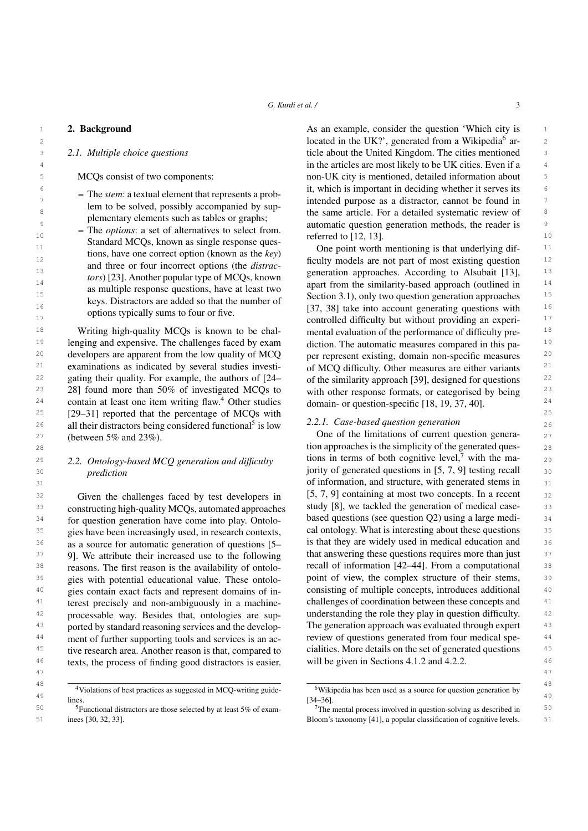# 2. Background

# *2.1. Multiple choice questions*

MCQs consist of two components:

- The *stem*: a textual element that represents a problem to be solved, possibly accompanied by supplementary elements such as tables or graphs;
- $10$  10  $\mu$  10  $\mu$  10  $\mu$  10  $\mu$  10  $\mu$  10  $\mu$  10  $\mu$  10  $\mu$  10  $\mu$  10  $\mu$  10  $\mu$  10  $\mu$  10  $\mu$  10  $\mu$  10  $\mu$  10  $\mu$  10  $\mu$  10  $\mu$  10  $\mu$  10  $\mu$  10  $\mu$  10  $\mu$  10  $\mu$  10  $\mu$  10  $\mu$  10  $\mu$  10  $\mu$  – The *options*: a set of alternatives to select from. Standard MCQs, known as single response questions, have one correct option (known as the *key*) and three or four incorrect options (the *distractors*) [\[23\]](#page-15-5). Another popular type of MCQs, known as multiple response questions, have at least two keys. Distractors are added so that the number of options typically sums to four or five.

<sup>18</sup> Writing high-quality MCQs is known to be chal- mental evaluation of the performance of difficulty pre-<sup>19</sup> lenging and expensive. The challenges faced by exam diction. The automatic measures compared in this pa-<sup>20</sup> developers are apparent from the low quality of MCQ per represent existing, domain non-specific measures <sup>20</sup>  $21$  examinations as indicated by several studies investi- of MCO difficulty. Other measures are either variants  $21$ 22 gating their quality. For example, the authors of  $[24-$  of the similarity approach [39], designed for questions 22 <sup>23</sup> [28\]](#page-15-7) found more than 50% of investigated MCQs to with other response formats, or categorised by being <sup>23</sup> <sup>2[4](#page-2-0)</sup> contain at least one item writing flaw.<sup>4</sup> Other studies domain- or question-specific [18, 19, 37, 40]. 25 25 [\[29–](#page-15-8)[31\]](#page-15-9) reported that the percentage of MCQs with 26 all their distractors being considered functional<sup>[5](#page-2-1)</sup> is low 2.2.1. Case-based question generation 26 27 (between 5% and 23%) Writing high-quality MCQs is known to be chal-(between 5% and 23%).

# *prediction*

33 constructing high-quality MCOs, automated approaches study [\[8\]](#page-14-7), we tackled the generation of medical case-<br>33 <sup>34</sup> for question generation have come into play. Ontolo-<br><sup>34</sup> for questions (see question Q2) using a large medi-<sup>35</sup> gies have been increasingly used, in research contexts, cal ontology. What is interesting about these questions 36 as a source for automatic generation of questions [5 | is that they are widely used in medical education and 36 37 9]. We attribute their increased use to the following that answering these questions requires more than just 37 <sup>38</sup> reasons. The first reason is the availability of ontolo- recall of information [\[42](#page-15-18)[–44\]](#page-16-0). From a computational <sup>38</sup> <sup>39</sup> gies with potential educational value. These ontolo-<br><sup>39</sup> point of view, the complex structure of their stems, <sup>40</sup> gies contain exact facts and represent domains of in-<br>consisting of multiple concepts, introduces additional <sup>41</sup> terest precisely and non-ambiguously in a machine-<br><sup>41</sup> terest precisely and <sup>41</sup>  $42$  processable way. Besides that, ontologies are sup-<br>understanding the role they play in question difficulty.  $42$ <sup>43</sup> ported by standard reasoning services and the develop- The generation approach was evaluated through expert <sup>43</sup> <sup>44</sup> ment of further supporting tools and services is an ac-<br><sup>44</sup> ment of further supporting tools and services is an ac-<sup>45</sup> tive research area. Another reason is that, compared to cialities. More details on the set of generated questions <sup>45</sup> <sup>46</sup> texts, the process of finding good distractors is easier. will be given in Sections 4.1.2 and 4.2.2. 47 47 Given the challenges faced by test developers in constructing high-quality MCQs, automated approaches for question generation have come into play. Ontologies have been increasingly used, in research contexts, as a source for automatic generation of questions [\[5–](#page-14-3) [9\]](#page-14-10). We attribute their increased use to the following reasons. The first reason is the availability of ontologies with potential educational value. These ontologies contain exact facts and represent domains of interest precisely and non-ambiguously in a machineprocessable way. Besides that, ontologies are supported by standard reasoning services and the development of further supporting tools and services is an active research area. Another reason is that, compared to

1 **2. Background** 2. **Background** 2. **Background** 2. **As an example, consider the question 'Which city is 1** 2 2 located in the UK?', generated from a Wikipedia[6](#page-2-2) ar-3 2.1. Multiple choice questions ticle about the United Kingdom. The cities mentioned 3 4 4 in the articles are most likely to be UK cities. Even if a 5 **ICO MCO S S ICO S S ICO S ICO S ICO S ICO EXECUTE: ICO EXECUTE: ICO EXECUTE: EXECUTE: EXECUTE: EXECUTE: EXECUTE: EXECUTE: EXECUTE: EXECUTE: EXECUTE: EXECUTE: EXECU** <sup>6</sup> 11. The start is to true claiment that represents a probability which is important in deciding whether it serves its  $\frac{1}{2}$  intended purpose as a distractor, cannot be found in  $\frac{1}{2}$  8  $\frac{1}{2}$  8  $\frac{1}{2}$  8  $\frac{1}{2}$  8  $\frac{1}{2}$  8  $\frac{1}{2}$  8  $\frac{1}{2}$  8  $\frac{1}{2}$  8  $\frac{1}{2}$  8  $\frac{1}{2}$  8  $\frac{1}{2}$  8  $\frac{1}{2}$  8  $\frac{1}{2}$  8  $\frac{1}{2}$  8  $\frac{1}{2}$  8  $\frac{1}{2}$  8  $\frac{1}{2}$  8  $\frac{1}{2}$  8  $\frac{1$ 9 9 9 9 100 percent with the state of percent with the reader is and the reader is  $\frac{1}{2}$  automatic question generation methods, the reader is

11 11 One point worth mentioning is that underlying dif-12 12 ficulty models are not part of most existing question 13 13 generation approaches. According to Alsubait [\[13\]](#page-14-9), 14 14 apart from the similarity-based approach (outlined in <sup>15</sup><br><sup>15</sup> 15 15 16tractors are added so that the number of Section [3.1\)](#page-3-0), only two question generation approaches 16 16 [\[37,](#page-15-13) [38\]](#page-15-14) take into account generating questions with 17 17 controlled difficulty but without providing an experidiction. The automatic measures compared in this paper represent existing, domain non-specific measures of MCQ difficulty. Other measures are either variants of the similarity approach [\[39\]](#page-15-15), designed for questions with other response formats, or categorised by being domain- or question-specific [\[18,](#page-15-1) [19,](#page-15-16) [37,](#page-15-13) [40\]](#page-15-17).

# *2.2.1. Case-based question generation*

28 28 tion approaches is the simplicity of the generated ques-29 29 *2.2. Ontology-based MCQ generation and difficulty* 30 *prediction* **1999 1999 1999 1999 1999 1999 1999 1999 1999 1999 1999 1999 1999 1999 1999 1999 1999 1999 1999 1999 1999 1999 1999 1999 1999 1999 1999 1999 1999 19** 31 31 of information, and structure, with generated stems in <sup>32</sup> Given the challenges faced by test developers in [\[5,](#page-14-3) [7,](#page-14-6) [9\]](#page-14-10) containing at most two concepts. In a recent <sup>32</sup> tions in terms of both cognitive level, $\frac{7}{7}$  $\frac{7}{7}$  $\frac{7}{7}$  with the ma-will be given in Sections [4.1.2](#page-5-0) and [4.2.2.](#page-7-0)

<sup>48</sup> 48 <sup>4</sup>Violations of best practices as suggested in MCQ-writing guide-<sup>4</sup>Violations of best practices as suggested in MCQ-writing guide-<br><sup>49</sup><br> $\frac{49}{48}$ <br>Family 261 lines.

<span id="page-2-1"></span><span id="page-2-0"></span><sup>5</sup>Functional distractors are those selected by at least 5% of examinees [\[30,](#page-15-10) [32,](#page-15-11) [33\]](#page-15-12).

<span id="page-2-3"></span><span id="page-2-2"></span>[<sup>\[34</sup>](#page-15-19)[–36\]](#page-15-20).

 $50 \text{ T}$  S Functional distractors are those selected by at least 5% of exam-<br> $7 \text{ T}$  The mental process involved in question-solving as described in 51 51 Bloom's taxonomy [\[41\]](#page-15-21), a popular classification of cognitive levels.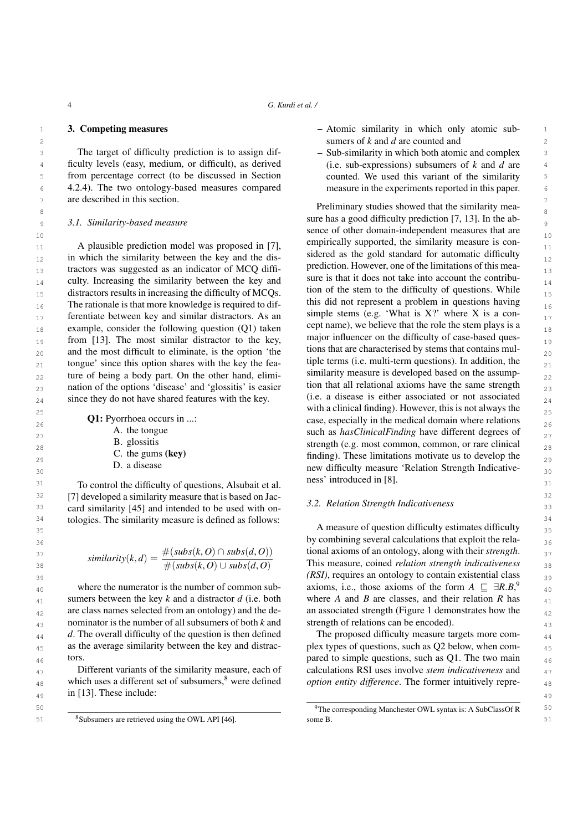# 3. Competing measures

3 3 – Sub-similarity in which both atomic and complex 4 ficulty levels (easy, medium, or difficult), as derived (i.e. sub-expressions) subsumers of k and d are 4 5 5 from percentage correct (to be discussed in Section 6 6 [4.2.4\)](#page-8-0). The two ontology-based measures compared 7 are described in this section. The target of difficulty prediction is to assign dif-

11 11 11 11 A plausible prediction model was proposed in [\[7\]](#page-14-6), the empirically supported, the similarity measure is con- $_{12}$  in which the similarity between the key and the dis-<br> $_{12}$  side the gold standard for automatic difficulty  $_{13}$  tractors was suggested as an indicator of MCQ diffi- prediction. However, one of the firmulations of this mea- $_{14}$  culty. Increasing the similarity between the key and sure is that it does not take into account the contribu- $_{15}$  distractors results in increasing the difficulty of MCQs. The loss of the stem to the difficulty of questions. While  $_{16}$  The rationale is that more knowledge is required to dif- this did not represent a problem in questions having  $_{16}$ 17 ferentiate between key and similar distractors. As an simple stems (e.g. What is  $X^T$  where X is a con- $_{18}$  example, consider the following question (Q1) taken cept name), we believe that the role the stem plays is a  $_{18}$  $_{19}$  from [\[13\]](#page-14-9). The most similar distractor to the key, major influencer on the difficulty of case-based ques-20 and the most difficult to eliminate, is the option 'the luminum that are characterised by stems that contains mul- $_{21}$  tongue' since this option shares with the key the fea-<br> $_{21}$  tongue i.e. multi-term questions). In addition, the 22 ture of being a body part. On the other hand, elimi-<br> $\frac{1}{22}$  similarity measure is developed based on the assump-23 nation of the options 'disease' and 'glossitis' is easier tion that all relational axioms have the same strength  $_{23}$  $_{24}$  since they do not have shared features with the key. (i.e. a disease is either associated or not associated  $_{24}$ 

Q1: Pyorrhoea occurs in ...: A. the tongue B. glossitis C. the gums (key) D. a disease

 31 To control the difficulty of questions, Alsubait et al. <sup>32</sup> [\[7\]](#page-14-6) developed a similarity measure that is based on Jac-<br><sup>32</sup>  $\frac{32}{2}$   $\frac{8}{3}$   $\frac{1}{2}$   $\frac{1}{2}$   $\frac{1}{2}$   $\frac{1}{2}$   $\frac{1}{2}$   $\frac{1}{2}$   $\frac{1}{2}$   $\frac{1}{2}$   $\frac{1}{2}$   $\frac{1}{2}$   $\frac{1}{2}$   $\frac{1}{2}$   $\frac{1}{2}$   $\frac$  card similarity [\[45\]](#page-16-1) and intended to be used with on-<br> $33$ tologies. The similarity measure is defined as follows:

$$
similarity(k, d) = \frac{\#(subs(k, O) \cap subs(d, O))}{\#(subs(k, O) \cup subs(d, O)}
$$

40 where the numerator is the number of common sub-<br>axioms, i.e., those axioms of the form  $A \subseteq \exists R.B$ ,  $\begin{array}{c} 40 \\ 40 \end{array}$ <br>sumers between the key k and a distractor d (i.e. both where A and B are classes, and their relat 41 sumers between the key *k* and a distractor *d* (i.e. both where *A* and *B* are classes, and their relation *R* has  $\frac{41}{4}$  $_{42}$  are class names selected from an ontology) and the de- an associated strength (Figure [1](#page-4-0) demonstrates how the  $_{42}$  $_{43}$  nominator is the number of all subsumers of both *k* and strength of relations can be encoded).  $44$  d. The overall difficulty of the question is then defined The proposed difficulty measure targets more com- $_{45}$  as the average similarity between the key and distrac- plex types of questions, such as Q2 below, when com-<sup>46</sup> tors. to the state of the state of the state of the state of the state of the state of the state of the state of the state of the state of the state of the state of the state of the state of the state of the state of where the numerator is the number of common subare class names selected from an ontology) and the de*d*. The overall difficulty of the question is then defined as the average similarity between the key and distractors.

<sup>47</sup> Different variants of the similarity measure, each of calculations RSI uses involve *stem indicativeness* and 48 which uses a different set of subsumers,<sup>8</sup> were defined *option entity difference*. The former intuitively repre- $_{49}$  in [\[13\]](#page-14-9). These include: Different variants of the similarity measure, each of which uses a different set of subsumers, $8$  were defined

<span id="page-3-1"></span>

| <sup>8</sup> Subsumers are retrieved using the OWL API [46]. |  |  |
|--------------------------------------------------------------|--|--|
|--------------------------------------------------------------|--|--|

- 1 **3. Competing measures and Secure 2 and Secure 2 and Secure 2 and Secure 2 and Secure 2 and Secure 2 and Secure 2 and Secure 2 and Secure 2 and Secure 2 and Secure 2 and Secure 2 and Secure 2 and Secure 2 and Secure 2** 2 2 sumers of *k* and *d* are counted and
	- (i.e. sub-expressions) subsumers of *k* and *d* are counted. We used this variant of the similarity measure in the experiments reported in this paper.

<span id="page-3-0"></span>8 8 Preliminary studies showed that the similarity mea- $\frac{3.1.}{2}$  *Similarity-based measure* **1998 1999 1999 1999 1999 1999 1999 1999 1999 1999 1999 1999 1999 1999 1999 1999 1999 1999 1999 1999 1999 1999 1999 1999 1999 1999** 10 10 sence of other domain-independent measures that are  $\frac{25}{25}$  with a clinical finding). However, this is not always the  $\frac{25}{25}$ **Q1:** Pyorrhoea occurs in ...: case, especially in the medical domain where relations  $_{26}$ 27 **A.** the tongue **such as** *hasClinicalFinding* have different degrees of  $\frac{27}{27}$ 28 28 strength (e.g. most common, common, or rare clinical 29 C. the gums (key) finding). These limitations motivate us to develop the  $\frac{29}{29}$ 20 **50 130 130 130 130 130 130 130 130 130 130 130 130 130 130 130 130 130 130 130 130 130 130 130 130 130 130 130 130 130 130 130 130 130 130 130 130** sure has a good difficulty prediction [\[7,](#page-14-6) [13\]](#page-14-9). In the abempirically supported, the similarity measure is considered as the gold standard for automatic difficulty prediction. However, one of the limitations of this measure is that it does not take into account the contribution of the stem to the difficulty of questions. While this did not represent a problem in questions having simple stems (e.g. 'What is  $X$ ?' where  $X$  is a concept name), we believe that the role the stem plays is a major influencer on the difficulty of case-based questions that are characterised by stems that contains multiple terms (i.e. multi-term questions). In addition, the similarity measure is developed based on the assumption that all relational axioms have the same strength (i.e. a disease is either associated or not associated ness' introduced in [\[8\]](#page-14-7).

# *3.2. Relation Strength Indicativeness*

 $\frac{35}{35}$  35  $36$  by combining several calculations that exploit the rela- $36$  $\#(subs(k, O) \cap subs(d, O))$  tional axioms of an ontology, along with their *strength*.  $\frac{\text{38}}{\text{38}}$   $\frac{\text{38}}{\text{38}}$   $\frac{\text{38}}{\text{38}}$   $\frac{\text{38}}{\text{38}}$   $\frac{\text{38}}{\text{38}}$   $\frac{\text{38}}{\text{38}}$   $\frac{\text{38}}{\text{38}}$  This measure, coined *relation strength indicativeness* <sup>39</sup> (*RSI*), requires an ontology to contain existential class where *A* and *B* are classes, and their relation *R* has strength of relations can be encoded).

<span id="page-3-2"></span>

<sup>50 &</sup>lt;sup>9</sup>The corresponding Manchester OWL syntax is: A SubClassOf R <sup>90</sup> 51 <sup>8</sup>Subsumers are retrieved using the OWL API [46]. Some B. some B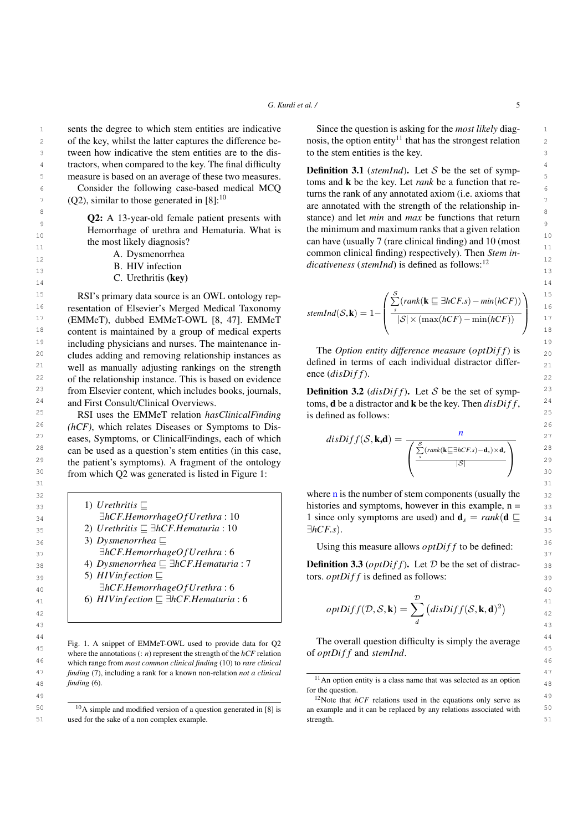1 sents the degree to which stem entities are indicative Since the question is asking for the *most likely* diag-2 of the key, whilst the latter captures the difference be-<br>
nosis, the option entity<sup>[11](#page-4-2)</sup> that has the strongest relation 2 3 3 tween how indicative the stem entities are to the dis-4 tractors, when compared to the key. The final difficulty  $\mathbf{D}$  of  $\mathbf{F}$  and  $\mathbf{L}$  and  $\mathbf{L}$  at  $\mathbf{S}$  be the set of sump  $\frac{1}{2}$  5 measure is based on an average of these two measures. 6 Consider the following case-based medical MCQ  $\frac{1}{2}$  then the real of our appointed arises (i.e. evidence that of the key, whilst the latter captures the difference be-

Q2: A 13-year-old female patient presents with Hemorrhage of urethra and Hematuria. What is the most likely diagnosis?

- A. Dysmenorrhea
- B. HIV infection
- $\mathbf{C}$ . Octanics  $(\mathbf{R} \mathbf{y})$  14 C. Urethritis (key)

<sup>15</sup> RSI's primary data source is an OWL ontology rep-<br> $\left(\sum_{k=1}^{S} (rank(\mathbf{k} \cap \exists b C F_s) - min(b C F))\right)^{-15}$ 16 resentation of Elsevier's Merged Medical Taxonomy  $\frac{16}{\text{stanh}(S/k)} = 1 - \frac{1}{s} \left( \frac{\sum (1, \text{dist}(k) - 1)}{s} \right)^{1/2}$ <sup>17</sup> (EMMeT), dubbed EMMeT-OWL [\[8,](#page-14-7) [47\]](#page-16-3). EMMeT  $|\mathcal{S}| \times (\max(hCF) - \min(hCF))$  17 <sup>18</sup> content is maintained by a group of medical experts  $\sqrt{18}$ <sup>19</sup> including physicians and nurses. The maintenance in-<br>
<sup>19</sup> 20 cludes adding and removing relationship instances as the *Option entity difference measure* (*option*) is 20 <sup>21</sup> well as manually adjusting rankings on the strength defined in terms of each individual distractor different <sup>22</sup> of the relationship instance. This is based on evidence  $\frac{\text{enc}(u \cdot \text{sn})}{\text{enc}(u \cdot \text{sn})}$ . <sup>23</sup> from Elsevier content, which includes books, journals, **Definition 3.2** (disDiff). Let S be the set of symp-<sup>23</sup> <sup>24</sup> and First Consult/Clinical Overviews. toms, **d** be a distractor and **k** be the key. Then  $disDiff$ , <sup>24</sup> and First Consult/Clinical Overviews.

<sup>26</sup> (*hCF*), which relates Diseases or Symptoms to Dis-<sup>27</sup> eases, Symptoms, or ClinicalFindings, each of which  $disDiff(S, \mathbf{k}, \mathbf{d}) = \frac{n}{\sqrt{2}}$ 28 can be used as a question's stem entities (in this case,  $\left(\sum_{k=1}^{\infty}$   $\frac{1}{k}$   $\left(\sum_{k=1}^{\infty}$   $\frac{1}{k}$   $\right)$  and  $\frac{1}{k}$   $\left(\sum_{k=1}^{\infty}$   $\frac{1}{k}$   $\left(\sum_{k=1}^{\infty}$   $\frac{1}{k}$   $\left(\sum_{k=1}^{\infty}$   $\frac{1}{k}$   $\left(\sum_{$ <sup>29</sup> the patient's symptoms). A fragment of the ontology  $\left|\frac{1}{\sqrt{|\mathcal{S}|}}\right|$  29  $30$  from which Q2 was generated is listed in Figure [1:](#page-4-0)

35  $\begin{bmatrix} 2 \end{bmatrix}$  *Urethritis*  $\sqsubseteq$  ∃*hCF*.*Hematuria* : 10  $\exists hCF.s$ ). 36 36 Using this measure allows *optDi f f* to be defined:  $\frac{37}{20}$   $\frac{37}{20}$   $\frac{37}{20}$   $\frac{37}{20}$   $\frac{37}{20}$   $\frac{37}{20}$   $\frac{37}{20}$   $\frac{37}{20}$   $\frac{37}{20}$   $\frac{37}{20}$   $\frac{37}{20}$   $\frac{37}{20}$   $\frac{37}{20}$   $\frac{37}{20}$   $\frac{37}{20}$   $\frac{37}{20}$   $\frac{37}{20}$   $\frac{37}{20}$   $\frac{3$  $\frac{1}{40}$   $\frac{1}{2}$ *hCF.HemorrhageOf Urethra* : 6<br> $\frac{1}{2}$  6)  $H$ *N in fection*  $\Box$   $\Box$ *hCF Hemotivia* : 6 1) *Urethritis*  $\sqsubseteq$ <sup>∃</sup>*hCF*.*HemorrhageO f Urethra* : 10 3) *Dysmenorrhea*  $\Box$ 4) *Dysmenorrhea* v ∃*hCF*.*Hematuria* : 7 5)  $HIV$ *in fection*  $\Box$ 

 $\frac{45}{45}$  are the annotations (: *n*) represent the strength of the *hCF* relation of *optDiff* and *stemInd*. 46 46 which range from *most common clinical finding* (10) to *rare clinical* 47 47 *finding* (7), including a rank for a known non-relation *not a clinical*  $\frac{11}{48}$  An option entity is a class name that was selected as an option  $\frac{11}{48}$ Fig. 1. A snippet of EMMeT-OWL used to provide data for Q2 *finding* (6).

<span id="page-4-1"></span>

Since the question is asking for the *most likely* diagto the stem entities is the key.

 $7 \qquad (Q2)$ , similar to those generated in [\[8\]](#page-14-7):<sup>[10](#page-4-1)</sup>  $\qquad \qquad \text{using the rank of any antrotated axion (i.e. axion is that})$ 8 8 **Q2:** A 13-year-old female patient presents with stance) and let  $min$  and  $max$  be functions that return  $\frac{9}{2}$  Hemorrhage of urethra and Hematuria. What is the minimum and maximum ranks that a given relation 10<br>the most likely diagnosis?<br>the most likely diagnosis?<br>the most likely diagnosis?<br>the most likely diagnosis? 11 11 common clinical finding) respectively). Then *Stem in-*12  $\frac{12}{12}$  12 <sup>[12](#page-4-3)</sup><br>13 **dicativeness** (*stemInd*) is defined as follows:<sup>12</sup> **Definition 3.1** (*stemInd*). Let S be the set of symptoms and k be the key. Let *rank* be a function that returns the rank of any annotated axiom (i.e. axioms that are annotated with the strength of the relationship in-

$$
stemInd(S,\mathbf{k}) = 1 - \left(\frac{\sum_{s}^{S}(rank(\mathbf{k} \sqsubseteq \exists hCF.s) - min(hCF))}{|S| \times (max(hCF) - min(hCF))}\right)
$$

The *Option entity difference measure* (*optDiff*) is defined in terms of each individual distractor difference (*disDi f f*).

<sup>25</sup> RSI uses the EMMeT relation *hasClinicalFinding* is defined as follows: **Definition 3.2** (*disDiff*). Let S be the set of sympis defined as follows:

$$
disDiff(S, \mathbf{k}, \mathbf{d}) = \frac{n}{\sqrt{\frac{\sum\limits_{s}^{s}(rank(\mathbf{k}\sqsubseteq \exists hCF.s) - \mathbf{d}_{s}) \times \mathbf{d}_{s}}{|S|}}}
$$

32 **12** 32 **12** where n is the number of stem components (usually the 32 33 1) Urethritis  $\Box$  33 1) Superiories and symptoms, however in this example, n = 33  $\exists hCF.HemorrhageOfUrethra: 10$  1 since only symptoms are used) and  $\mathbf{d}_s = rank(\mathbf{d} \sqsubseteq s_4)$ <sup>∃</sup>*hCF*.*s*).

38 **4** 3.3 (*optDiff*). Let D be the set of distrac- 3.3 (*optDiff*). Let D be the set of distrac- 3.3 39 **5)**  $H V$ *infection*  $\subseteq$  **b**  $\subseteq$  **c**  $\subseteq$  **c**  $\subseteq$  **c**  $\subseteq$  **c**  $\subseteq$  **c**  $\subseteq$  **c**  $\subseteq$  **c**  $\subseteq$  **c**  $\subseteq$  **c**  $\subseteq$  **c**  $\subseteq$  **c**  $\subseteq$  **c**  $\subseteq$  **c**  $\subseteq$  **c**  $\subseteq$  **c**  $\subseteq$  **c**  $\subseteq$  **c**  $\subseteq$  **c**  $\subseteq$  **c**  $\subseteq$  **c**  $\subseteq$  **c** 

$$
^{41}_{42}\qquad \qquad 6)\ HIVinfection \sqsubseteq \exists hCF.Hematuria:6 \qquad \qquad optDiff(\mathcal{D},\mathcal{S},\mathbf{k})=\sum_{d}^{\mathcal{D}}\left(disDiff(\mathcal{S},\mathbf{k},\mathbf{d})^{2}\right) \qquad \qquad ^{41}_{43}
$$

<span id="page-4-0"></span><sup>44</sup><br>Fig. 1. A snippet of EMMeT-OWL used to provide data for Q<sub>2</sub> The overall question difficulty is simply the average of *optDi f f* and *stemInd*.

<span id="page-4-3"></span><span id="page-4-2"></span>for the question.

<sup>&</sup>lt;sup>49</sup> 1<sup>2</sup>Note that *hCF* relations used in the equations only serve as <sup>49</sup>  $^{50}$   $^{10}$ A simple and modified version of a question generated in [\[8\]](#page-14-7) is an example and it can be replaced by any relations associated with  $^{50}$ 51 used for the sake of a non complex example. 51 strength. 51 an example and it can be replaced by any relations associated with strength.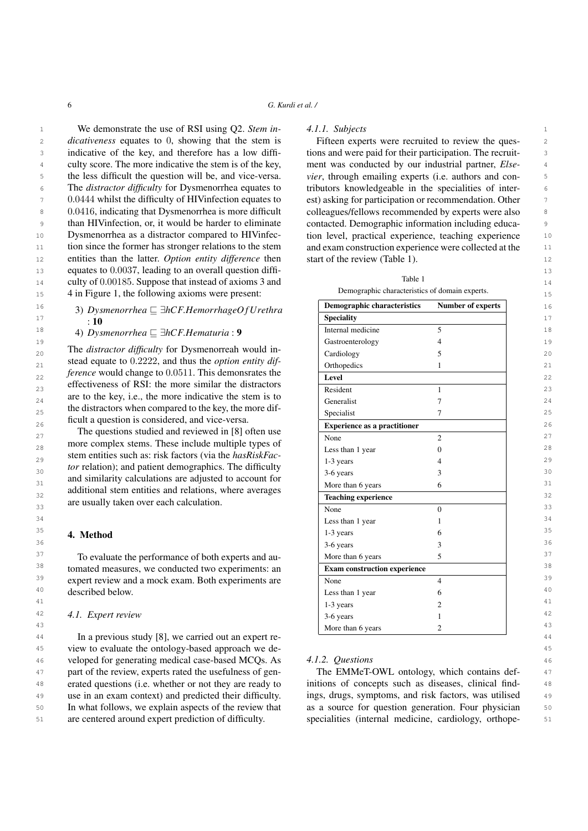1 **1 We demonstrate the use of RSI using Q2.** *Stem in-* 4.1.1. *Subjects* 4.1 2 *dicativeness* equates to 0, showing that the stem is Fifteen experts were recruited to review the ques-3 3 indicative of the key, and therefore has a low diffi-<sup>4</sup> culty score. The more indicative the stem is of the key, ment was conducted by our industrial partner, *Else* <sup>4</sup> <sup>5</sup> the less difficult the question will be, and vice-versa. *vier*, through emailing experts (i.e. authors and con-<sup>6</sup> The *distractor difficulty* for Dysmenorrhea equates to tributors knowledgeable in the specialities of inter-0.0444 whilst the difficulty of HIV infection equates to<br>
0.0416 indicating that Dysmenorrhea is more difficult colleagues fellows recommended by experts were also 8 0.0416, indicating that Dysmenorrhea is more difficult colleagues/fellows recommended by experts were also <sup>9</sup> than HIV infection, or, it would be harder to eliminate contacted. Demographic information including educa-10 Dysmenorrhea as a distractor compared to HIVinfec-<br>10 tion level, practical experience, teaching experience in 11 11 and exam construction experience were collected at the 12 entities than the latter. *Option entity difference* then start of the review (Table 1). 13 13 equates to <sup>0</sup>.0037, leading to an overall question diffi-14 14 culty of <sup>0</sup>.00185. Suppose that instead of axioms 3 and 15 4 in Figure [1,](#page-4-0) the following axioms were present:<br>15 4 in Figure 1, the following axioms were present: the less difficult the question will be, and vice-versa. <sup>0</sup>.0416, indicating that Dysmenorrhea is more difficult than HIVinfection, or, it would be harder to eliminate Dysmenorrhea as a distractor compared to HIVinfection since the former has stronger relations to the stem

- 16 16 3) *Dysmenorrhea* ⊑ ∃*hCF.HemorrhageOf Urethra* **Demographic characteristics Number of experts** 16 16<br>17 1**0** 17  $\frac{17}{10}$  10  $: 10$ 
	-

# 4. Method

44 44 In a previous study [\[8\]](#page-14-7), we carried out an expert re-45 45 view to evaluate the ontology-based approach we de-46 veloped for generating medical case-based MCQs. As  $4.1.2$ . Questions 46 <sup>47</sup> part of the review, experts rated the usefulness of gen-<br>The EMMeT-OWL ontology, which contains def-48 erated questions (i.e. whether or not they are ready to initions of concepts such as diseases, clinical find-49 use in an exam context) and predicted their difficulty. ings, drugs, symptoms, and risk factors, was utilised 49 50 In what follows, we explain aspects of the review that as a source for question generation. Four physician 50 51 are centered around expert prediction of difficulty. Specialities (internal medicine, cardiology, orthopeuse in an exam context) and predicted their difficulty. are centered around expert prediction of difficulty.

# *4.1.1. Subjects*

Fifteen experts were recruited to review the questions and were paid for their participation. The recruitment was conducted by our industrial partner, *Else*tributors knowledgeable in the specialities of interest) asking for participation or recommendation. Other start of the review (Table [1\)](#page-5-1).

<span id="page-5-1"></span>

| Table 1                                        |  |
|------------------------------------------------|--|
| Demographic characteristics of domain experts. |  |

| 3) Dysmenorrhea $\sqsubseteq \exists hCF.HemorrhageOfUrethra$ | <b>Demographic characteristics</b>  | Number of experts |  |  |  |
|---------------------------------------------------------------|-------------------------------------|-------------------|--|--|--|
| : 10                                                          | <b>Speciality</b>                   |                   |  |  |  |
| 4) Dysmenorrhea $\sqsubseteq \exists hCF.Hematuria:$ 9        | Internal medicine                   | 5                 |  |  |  |
|                                                               | Gastroenterology                    |                   |  |  |  |
| The <i>distractor difficulty</i> for Dysmenorreah would in-   | Cardiology                          | 5                 |  |  |  |
| stead equate to 0.2222, and thus the option entity dif-       | Orthopedics                         |                   |  |  |  |
| ference would change to 0.0511. This demonsrates the          | Level                               |                   |  |  |  |
| effectiveness of RSI: the more similar the distractors        | Resident                            | $\mathbf{1}$      |  |  |  |
| are to the key, i.e., the more indicative the stem is to      | Generalist                          |                   |  |  |  |
| the distractors when compared to the key, the more dif-       | Specialist                          | 7                 |  |  |  |
| ficult a question is considered, and vice-versa.              | <b>Experience as a practitioner</b> |                   |  |  |  |
| The questions studied and reviewed in [8] often use           | None                                | 2                 |  |  |  |
| more complex stems. These include multiple types of           | Less than 1 year                    | $\Omega$          |  |  |  |
| stem entities such as: risk factors (via the hasRiskFac-      | 1-3 years                           |                   |  |  |  |
| tor relation); and patient demographics. The difficulty       | 3-6 years                           | 3                 |  |  |  |
| and similarity calculations are adjusted to account for       | More than 6 years                   | 6                 |  |  |  |
| additional stem entities and relations, where averages        | <b>Teaching experience</b>          |                   |  |  |  |
| are usually taken over each calculation.                      | None                                | $\Omega$          |  |  |  |
|                                                               | Less than 1 year                    |                   |  |  |  |
| 4. Method                                                     | 1-3 years                           | 6                 |  |  |  |
|                                                               | 3-6 years                           | 3                 |  |  |  |
| To evaluate the performance of both experts and au-           | More than 6 years                   | 5                 |  |  |  |
| tomated measures, we conducted two experiments: an            | <b>Exam construction experience</b> |                   |  |  |  |
| expert review and a mock exam. Both experiments are           | None                                | $\overline{4}$    |  |  |  |
| described below.                                              | Less than 1 year                    | 6                 |  |  |  |
|                                                               | 1-3 years                           |                   |  |  |  |
| 4.1. Expert review                                            | 3-6 years                           |                   |  |  |  |
|                                                               | More than 6 years                   | 2                 |  |  |  |

# <span id="page-5-0"></span>*4.1.2. Questions*

The EMMeT-OWL ontology, which contains definitions of concepts such as diseases, clinical findas a source for question generation. Four physician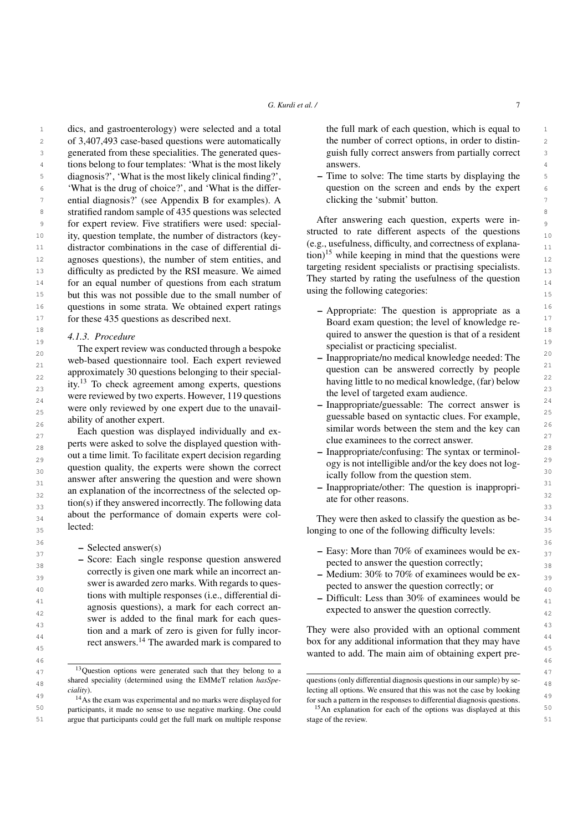1 1 dics, and gastroenterology) were selected and a total 2 2 of 3,407,493 case-based questions were automatically 3 3 generated from these specialities. The generated ques-4 4 tions belong to four templates: 'What is the most likely 5 diagnosis?', 'What is the most likely clinical finding?',  $-$  Time to solve: The time starts by displaying the 5 6 6 'What is the drug of choice?', and 'What is the differ-<sup>7</sup> ential diagnosis?' (see Appendix [B](#page-14-11) for examples). A clicking the 'submit' button. 8 8 stratified random sample of 435 questions was selected 9 9 for expert review. Five stratifiers were used: special-<sup>10</sup> ity, question template, the number of distractors (key-<br><sup>10</sup> 11 distractor combinations in the case of differential di-<br><sup>11</sup><br>
distractor combinations in the case of differential di-<br>
<sup>11</sup> <sup>12</sup> agnoses questions), the number of stem entities, and <sup>1001</sup> while keeping in filmulation questions were <sup>12</sup> <sup>13</sup> difficulty as predicted by the RSI measure. We aimed an example in the solution of practising spectalists. <sup>14</sup> for an equal number of questions from each stratum they statical by rating the usefulness of the question  $\frac{14}{14}$ <sup>15</sup> but this was not possible due to the small number of  $\frac{15}{2}$  assumed the conowing categories. <sup>16</sup> questions in some strata. We obtained expert ratings  $\overline{a}$  Appropriate: The question is appropriate as a <sup>17</sup> for these 435 questions as described next.

# *4.1.3. Procedure*

 $20$ <br>web-based questionnaire tool. Each expert reviewed  $20$ <br> $-$  Inappropriate/no medical knowledge needed: The  $\frac{21}{21}$  we based question and tool. Each expert reviewed<br>approximately 30 questions belonging to their special- question can be answered correctly by people  $\frac{22}{\pi}$  ity <sup>13</sup>. To check agreement among experts, questions having little to no medical knowledge, (far) below  $\frac{22}{\pi}$  $\frac{23}{23}$  Ty. To check agreement among experts, questions the level of targeted exam audience. <sup>24</sup> were reviewed by two experts. However, 115 questions<br>were only reviewed by one expert due to the unavail-<br> $\frac{24}{\pi}$  - Inappropriate/guessable: The correct answer is  $25$  25 ability of another expert can be the dialected on syntactic clues. For example, The expert review was conducted through a bespoke web-based questionnaire tool. Each expert reviewed approximately 30 questions belonging to their speciality.[13](#page-6-0) To check agreement among experts, questions were reviewed by two experts. However, 119 questions were only reviewed by one expert due to the unavailability of another expert.

 $27$  27 Each question was displayed individually and example 27 clue examinees to the correct answer.  $\frac{28}{28}$  per extracted to solve the displayed question with  $\frac{28}{28}$  - Inappropriate/confusing: The syntax or terminol-<sup>29</sup> out a time limit. To facilitate expert decision regarding  $\frac{1}{29}$  - mappropriate/confusing: The syntax or terminoi- $30$  question quality, the experts were shown the correct  $\frac{\text{ogy}}{\text{is} \text{a} \text{d} \text{d} \text{c}}$  and intelligible and/or the key does not log- $31$  answer after answering the question and were shown<br> $31$  **Leappensite of the magnetic structure** is inepresented and  $\frac{31}{2}$  $\frac{32}{2}$  an explanation of the incorrectness of the selected op-<br> $\frac{1}{2}$  and  $\frac{1}{2}$  are stated op- $\frac{33}{33}$  tion(s) if they answered incorrectly. The following data and the sum of the set of other reasons.  $34$  about the performance of domain experts were con-<br>They were then asked to classify the question as be-<br> $34$ Each question was displayed individually and experts were asked to solve the displayed question withabout the performance of domain experts were collected:

### $36$   $36$   $36$ – Selected answer(s)

 $\frac{38}{38}$  – Score: Each single response question answered pected to answer the question correctly;  $\frac{39}{39}$  correctly is given one mark while an incorrect an  $-$  Medium: 30% to 70% of examinees would be ex-40 swer is awarded zero marks. With regards to ques-<br> $\frac{40}{40}$  pected to answer the question correctly; or tions with multiple responses (i.e., differential di- $\overline{a}$  - Difficult: Less than 30% of examinees would be  $\overline{a}$ agnosis questions), a mark for each correct and expected to answer the question correctly. <sup>43</sup> tion and a mark of zero is given for fully incor-<br>They were also provided with an optional comment  $\frac{44}{12}$  and the state of the server of the server of the server of the server of the server of the server of the server of the server of the server of the server of the server of the server of the server of the server – Score: Each single response question answered correctly is given one mark while an incorrect answer is awarded zero marks. With regards to questions with multiple responses (i.e., differential diagnosis questions), a mark for each correct answer is added to the final mark for each question and a mark of zero is given for fully incorrect answers.[14](#page-6-1) The awarded mark is compared to

the full mark of each question, which is equal to the number of correct options, in order to distinguish fully correct answers from partially correct answers.

– Time to solve: The time starts by displaying the question on the screen and ends by the expert clicking the 'submit' button.

After answering each question, experts were instructed to rate different aspects of the questions (e.g., usefulness, difficulty, and correctness of explana- $\mu$  tion)<sup>[15](#page-6-2)</sup> while keeping in mind that the questions were targeting resident specialists or practising specialists. They started by rating the usefulness of the question using the following categories:

- 18 18 quired to answer the question is that of a resident <sup>19</sup><br>The expert review was conducted through a bespoke specialist or practicing specialist. – Appropriate: The question is appropriate as a Board exam question; the level of knowledge re-
	-
- $\frac{26}{26}$  about the stem and the key can<br>Each question was displayed individually and ex-<br>gimilar words between the stem and the key can
	- ogy is not intelligible and/or the key does not logically follow from the question stem.
	- Inappropriate/other: The question is inappropriate for other reasons.

35 35 longing to one of the following difficulty levels:

- $\frac{37}{2}$  Selected answer(s) Easy: More than 70% of examinees would be ex-
	-
	-

<sup>45</sup><br>wanted to add. The main aim of obtaining expert pre- $\frac{1}{46}$   $\frac{1}{46}$   $\frac{1}{46}$   $\frac{1}{46}$   $\frac{1}{46}$   $\frac{1}{46}$   $\frac{1}{46}$   $\frac{1}{46}$   $\frac{1}{46}$   $\frac{1}{46}$   $\frac{1}{46}$   $\frac{1}{46}$   $\frac{1}{46}$   $\frac{1}{46}$   $\frac{1}{46}$   $\frac{1}{46}$   $\frac{1}{46}$   $\frac{1}{46}$   $\frac{1}{46}$   $\frac{1}{46}$ 

<span id="page-6-2"></span>51 51 argue that participants could get the full mark on multiple response stage of the review.

<span id="page-6-0"></span><sup>47</sup> 47 <sup>13</sup>Question options were generated such that they belong to a shared speciality (determined using the EMMeT relation *hasSpe*- questions (only differential diagnosis questions in our sample) by seshared speciality (determined using the EMMeT relation *hasSpeciality*).

<span id="page-6-1"></span><sup>50</sup> participants, it made no sense to use negative marking. One could <sup>15</sup>An explanation for each of the options was displayed at this <sup>50</sup> <sup>14</sup>As the exam was experimental and no marks were displayed for participants, it made no sense to use negative marking. One could

<sup>&</sup>lt;sup>49</sup> <sup>19</sup> <sup>14</sup>As the exam was experimental and no marks were displayed for **14** for such a pattern in the responses to differential diagnosis questions. lecting all options. We ensured that this was not the case by looking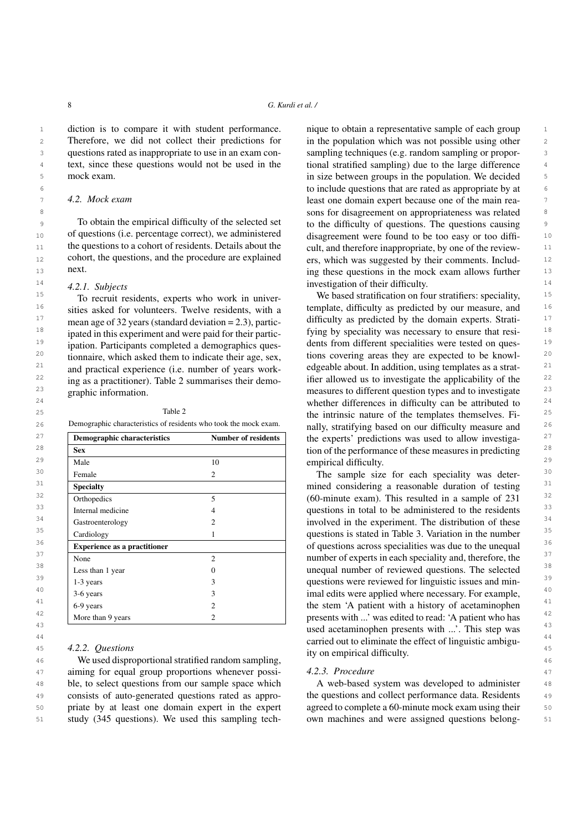<sup>1</sup> diction is to compare it with student performance. In matrix in a representative sample of each group <sup>1</sup> mock exam.

# *4.2. Mock exam*

To obtain the empirical difficulty of the selected set of questions (i.e. percentage correct), we administered the questions to a cohort of residents. Details about the cohort, the questions, and the procedure are explained next.

# *4.2.1. Subjects*

<sup>16</sup> sities asked for volunteers. Twelve residents, with a template, difficulty as predicted by our measure, and <sup>16</sup> <sup>17</sup> mean age of 32 years (standard deviation = 2.3), partic-<br>difficulty as predicted by the domain experts. Strati-<sup>18</sup> in intimulated in this experiment and were paid for their partic-<br>
fying by speciality was necessary to ensure that resi- $19$  ipation. Participants completed a demographics ques-<br>dents from different specialities were tested on ques-<br> $19$ <sup>20</sup> tionnaire, which asked them to indicate their age, sex, tions covering areas they are expected to be knowl-<sup>21</sup> and practical experience (i.e. number of years work- edgeable about. In addition, using templates as a strat- $22$  ing as a practitioner). Table 2 summarises their demo-<br>ifier allowed us to investigate the applicability of the  $22$ <sup>23</sup> eraphic information. The property of the measures to different question types and to investigate <sup>23</sup> To recruit residents, experts who work in universities asked for volunteers. Twelve residents, with a mean age of  $32$  years (standard deviation =  $2.3$ ), participated in this experiment and were paid for their participation. Participants completed a demographics questionnaire, which asked them to indicate their age, sex, and practical experience (i.e. number of years working as a practitioner). Table [2](#page-7-1) summarises their demographic information.

Table 2

<span id="page-7-1"></span>

| Demographic characteristics         | Number of residents | the experts' predictions was used to allow investiga-    |
|-------------------------------------|---------------------|----------------------------------------------------------|
| <b>Sex</b>                          |                     | tion of the performance of these measures in predicting  |
| Male                                | 10                  | empirical difficulty.                                    |
| Female                              |                     | The sample size for each speciality was deter-           |
| <b>Specialty</b>                    |                     | mined considering a reasonable duration of testing       |
| Orthopedics                         |                     | $(60$ -minute exam). This resulted in a sample of 231    |
| Internal medicine                   |                     | questions in total to be administered to the residents   |
| Gastroenterology                    |                     | involved in the experiment. The distribution of these    |
| Cardiology                          |                     | questions is stated in Table 3. Variation in the number  |
| <b>Experience as a practitioner</b> |                     | of questions across specialities was due to the unequal  |
| None                                | $\mathfrak{D}$      | number of experts in each speciality and, therefore, the |
| Less than 1 year                    |                     | unequal number of reviewed questions. The selected       |
| $1-3$ years                         |                     | questions were reviewed for linguistic issues and min-   |
| 3-6 years                           |                     | imal edits were applied where necessary. For example,    |
| 6-9 years                           |                     | the stem 'A patient with a history of acetaminophen      |
| More than 9 years                   |                     | presents with ' was edited to read: 'A patient who has   |

<span id="page-7-0"></span>

46 We used disproportional stratified random sampling,  $\frac{1}{2}$  on employment entreated. <sup>47</sup> aiming for equal group proportions whenever possi- 4.2.3. Procedure 47 48 ble, to select questions from our sample space which A web-based system was developed to administer 48 49 consists of auto-generated questions rated as appro-<br>
the questions and collect performance data. Residents 50 priate by at least one domain expert in the expert agreed to complete a 60-minute mock exam using their 50 51 study (345 questions). We used this sampling tech- own machines and were assigned questions belong- 51 consists of auto-generated questions rated as approstudy (345 questions). We used this sampling tech-

2 Therefore, we did not collect their predictions for in the population which was not possible using other 2 3 3 questions rated as inappropriate to use in an exam con-<sup>4</sup> text, since these questions would not be used in the tional stratified sampling) due to the large difference 5 5 in size between groups in the population. We decided 6 6 to include questions that are rated as appropriate by at <sup>7</sup> 4.2. Mock exam **12. 2008** 1 2.4 and 1 2.7 and 1 2.7 and 1 2.7 and 1 2.8 and 1 2.8 and 1 2.8 and 1 2.8 and 1 2.8 and 1 2.8 and 1 2.8 and 1 2.8 and 1 2.8 and 1 2.8 and 1 2.8 and 1 2.8 and 1 2.8 and 1 2.8 and 1 2.8 and 1 8
sons for disagreement on appropriateness was related and the set of the sons for disagreement on appropriateness was related and the set of the set of the set of the set of the set of the set of the set of the set of the 9 10 obtain the empirical difficulty of the selected set to the difficulty of questions. The questions causing 10 of questions (i.e. percentage correct), we administered disagreement were found to be too easy or too diffi-<sup>11</sup> the questions to a cohort of residents. Details about the cult, and therefore inappropriate, by one of the review-<sup>12</sup> conort, the questions, and the procedure are explained ers, which was suggested by their comments. Includ-13 **hext. hext 13 is a constrained to the mock exam allows further** the mock exam allows further <sup>13</sup> <sup>14</sup> 4.2.1. Subjects **14** 14 **14** 14 **14** 14 **14** 14 **14** 14 **14** 14 nique to obtain a representative sample of each group in the population which was not possible using other sampling techniques (e.g. random sampling or proportional stratified sampling) due to the large difference

<sup>15</sup> To recruit residents, experts who work in univer-<br><sup>15</sup> We based stratification on four stratifiers: speciality,  $24$  whether differences in difficulty can be attributed to  $24$ 25 25 the intrinsic nature of the templates themselves. Fi-26 Demographic characteristics of residents who took the mock exam. In ally stratifying based on our difficulty measure and 26 nally, stratifying based on our difficulty measure and

<sup>43</sup> used acetaminophen presents with ...'. This step was <sup>44</sup> carried out to eliminate the effect of linguistic ambigu-45 4.2.2. Questions **1998 1999 1999 1999 1999 1999 1999 1999 1999 1999 1999 1999 1999 1999 1999 1999 1999 1999 1999 1999 1999 1999 1999 1999 1999 1999 1999 1999 1999** ity on empirical difficulty.

# *4.2.3. Procedure*

A web-based system was developed to administer agreed to complete a 60-minute mock exam using their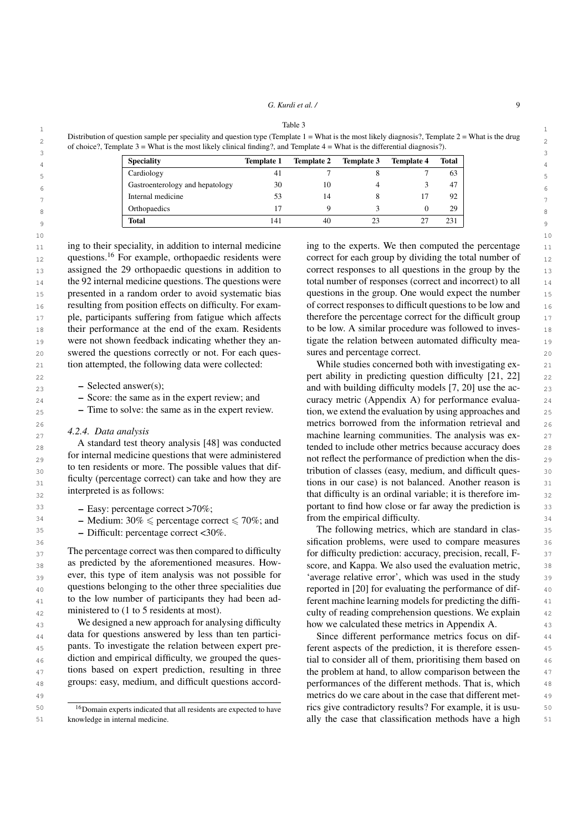*G. Kurdi et al. /* 9

<span id="page-8-1"></span>

|                                     |                                                                                                                                                                                                                                                                                    | Table 3           |                   |                   |              |  |
|-------------------------------------|------------------------------------------------------------------------------------------------------------------------------------------------------------------------------------------------------------------------------------------------------------------------------------|-------------------|-------------------|-------------------|--------------|--|
|                                     | Distribution of question sample per speciality and question type (Template 1 = What is the most likely diagnosis?, Template 2 = What is the drug<br>of choice?, Template $3 =$ What is the most likely clinical finding?, and Template $4 =$ What is the differential diagnosis?). |                   |                   |                   |              |  |
|                                     |                                                                                                                                                                                                                                                                                    |                   |                   |                   |              |  |
| <b>Speciality</b>                   | <b>Template 1</b>                                                                                                                                                                                                                                                                  | <b>Template 2</b> | <b>Template 3</b> | <b>Template 4</b> | <b>Total</b> |  |
| Cordi <sub>0</sub> cos <sub>1</sub> |                                                                                                                                                                                                                                                                                    |                   |                   |                   | 62           |  |

| <b>Speciality</b>               | <b>Template 1</b> | <b>Template 2</b> | <b>Template 3</b> | <b>Template 4</b> | <b>Total</b> |
|---------------------------------|-------------------|-------------------|-------------------|-------------------|--------------|
| Cardiology                      | -41               |                   |                   |                   | 63           |
| Gastroenterology and hepatology | 30                | 10                |                   |                   | 47           |
| Internal medicine               | 53                | 14                |                   |                   | 92           |
| Orthopaedics                    |                   |                   |                   |                   | 29           |
| <b>Total</b>                    | 141               | 40                | 23                | $\sim$<br>، ت     | 231          |

10 10

<sup>11</sup> ing to their speciality, in addition to internal medicine ing to the experts. We then computed the percentage <sup>11</sup>  $_{12}$  questions.<sup>[16](#page-8-2)</sup> For example, orthopaedic residents were correct for each group by dividing the total number of  $_{12}$ 13 assigned the 29 orthopaedic questions in addition to correct responses to all questions in the group by the 13 <sup>14</sup> the 92 internal medicine questions. The questions were total number of responses (correct and incorrect) to all 15 presented in a random order to avoid systematic bias questions in the group. One would expect the number 15 16 16 resulting from position effects on difficulty. For exam-17 ple, participants suffering from fatigue which affects therefore the percentage correct for the difficult group 17 18 their performance at the end of the exam. Residents to be low. A similar procedure was followed to inves-19 were not shown feedback indicating whether they an-<br>
tigate the relation between automated difficulty mea-<br>
19 20 20 swered the questions correctly or not. For each ques-21 tion attempted, the following data were collected: While studies concerned both with investigating ex-<br>21 were not shown feedback indicating whether they an-

- Selected answer(s);
- Score: the same as in the expert review; and
- Time to solve: the same as in the expert review.

### <span id="page-8-0"></span>*4.2.4. Data analysis*

A standard test theory analysis [\[48\]](#page-16-4) was conducted for internal medicine questions that were administered to ten residents or more. The possible values that difficulty (percentage correct) can take and how they are interpreted is as follows:

- Easy: percentage correct >70%;
- 
- Difficult: percentage correct <30%.

 $_{37}$  The percentage correct was then compared to difficulty for difficulty prediction: accuracy, precision, recall, F- $_{38}$  as predicted by the aforementioned measures. How-score, and Kappa. We also used the evaluation metric,  $_{38}$  $39$  ever, this type of item analysis was not possible for  $4$  average relative error', which was used in the study  $39$  $_{40}$  questions belonging to the other three specialities due reported in [\[20\]](#page-15-2) for evaluating the performance of dif-<sup>41</sup> to the low number of participants they had been ad-<br>ferent machine learning models for predicting the diffi-The percentage correct was then compared to difficulty as predicted by the aforementioned measures. However, this type of item analysis was not possible for questions belonging to the other three specialities due to the low number of participants they had been administered to (1 to 5 residents at most).

<sup>43</sup> 43 We designed a new approach for analysing difficulty how we calculated these metrics in Appendix [A.](#page-13-0) 44 44 Since different performance metrics focus on dif-<sup>45</sup> pants. To investigate the relation between expert pre-<br><sup>45</sup> ferent aspects of the prediction, it is therefore essen-46 diction and empirical difficulty, we grouped the ques-<br>tial to consider all of them, prioritising them based on <sup>47</sup> tions based on expert prediction, resulting in three the problem at hand, to allow comparison between the <sup>47</sup> We designed a new approach for analysing difficulty data for questions answered by less than ten participants. To investigate the relation between expert prediction and empirical difficulty, we grouped the questions based on expert prediction, resulting in three groups: easy, medium, and difficult questions accord-

<span id="page-8-2"></span><sup>16</sup>Domain experts indicated that all residents are expected to have knowledge in internal medicine.

ing to the experts. We then computed the percentage correct for each group by dividing the total number of correct responses to all questions in the group by the total number of responses (correct and incorrect) to all questions in the group. One would expect the number of correct responses to difficult questions to be low and therefore the percentage correct for the difficult group to be low. A similar procedure was followed to invessures and percentage correct.

22 22 pert ability in predicting question difficulty [\[21,](#page-15-3) [22\]](#page-15-4)  $2<sub>23</sub>$  – Selected answer(s); and with building difficulty models [\[7,](#page-14-6) [20\]](#page-15-2) use the ac- $_{24}$  - Score: the same as in the expert review; and curacy metric (Appendix [A\)](#page-13-0) for performance evalua- $25$  - Time to solve: the same as in the expert review. tion, we extend the evaluation by using approaches and  $25$ 26 26 metrics borrowed from the information retrieval and  $27$  4.2.4. Data analysis  $27$  machine learning communities. The analysis was ex-  $27$  $28$  A standard test theory analysis [46] was conducted to include other metrics because accuracy does  $28$  $_{29}$  not method in the distribution when the dis-<br> $_{29}$  not reflect the performance of prediction when the dis- $\frac{30}{30}$  to ten residents or more. The possible values that different difficult question of classes (easy, medium, and difficult ques- $_{31}$  incurry (percentage correct) can take and now they are tions in our case) is not balanced. Another reason is  $_{31}$  $32$  interpreted is as follows:  $32$  that difficulty is an ordinal variable; it is therefore im-<sup>33</sup> - Easy: percentage correct >70%:<br><sup>33</sup> - Pasy: percentage correct >70%: <sup>34</sup> - Medium:  $30\% \leq$  percentage correct  $\leq 70\%$ ; and from the empirical difficulty. While studies concerned both with investigating exfrom the empirical difficulty.

 $\frac{35}{25}$  - Difficult: perceptage correct <30% The following metrics, which are standard in clas-36 36 sification problems, were used to compare measures <sup>42</sup> ministered to (1 to 5 residents at most). The culty of reading comprehension questions. We explain <sup>42</sup>

48 groups: easy, medium, and difficult questions accord-<br>
performances of the different methods. That is, which 48 49 49 metrics do we care about in the case that different met-<sup>50</sup> <sup>16</sup>Domain experts indicated that all residents are expected to have **16** rics give contradictory results? For example, it is usu-51 51 ally the case that classification methods have a high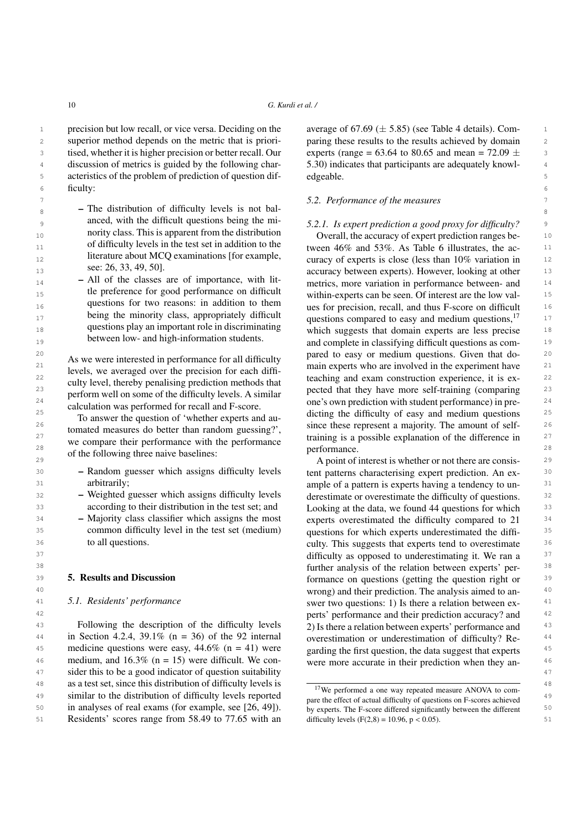1 precision but low recall, or vice versa. Deciding on the average of 67.69 ( $\pm$  5.85) (see Table 4 details). Com-2 superior method depends on the metric that is priori-<br>paring these results to the results achieved by domain 2 3 ised, whether it is higher precision or better recall. Our experts (range =  $63.64$  to 80.65 and mean =  $72.09 \pm 3.00$ <sup>4</sup> discussion of metrics is guided by the following char- 5.30) indicates that participants are adequately knowl-5 5 acteristics of the problem of prediction of question dif-6 ficulty: 6 ficulty: 6 ficulty: 6 ficulty: 6 ficulty: 6 ficulty: 6 ficulty: 6 ficulty: 6 ficulty: 6 ficulty: 6 ficulty: 6 ficulty: 6 ficulty: 6 ficulty: 6 ficulty: 6 ficulty: 6 ficulty: 6 ficulty: 6 ficulty: 6 ficulty: 6 superior method depends on the metric that is priorificulty:

 $8 \rightarrow$  The distribution of difficulty levels is not bal-9 9 *5.2.1. Is expert prediction a good proxy for difficulty?* anced, with the difficult questions being the minority class. This is apparent from the distribution of difficulty levels in the test set in addition to the literature about MCQ examinations [for example, see: [26,](#page-15-22) [33,](#page-15-12) [49,](#page-16-5) [50\]](#page-16-6).

<sup>14</sup> - All of the classes are of importance, with the metrics, more variation in performance between- and <sup>14</sup> 15 15 within-experts can be seen. Of interest are the low val-16 16 ues for precision, recall, and thus F-score on difficult <sup>[17](#page-9-0)</sup> being the minority class, appropriately difficult questions compared to easy and medium questions,<sup>17</sup> <sup>17</sup> 18 18 which suggests that domain experts are less precise – All of the classes are of importance, with little preference for good performance on difficult questions for two reasons: in addition to them being the minority class, appropriately difficult questions play an important role in discriminating between low- and high-information students.

21 21 main experts who are involved in the experiment have 22 22 teaching and exam construction experience, it is ex- $23$  perform well on some of the difficulty levels. A similar pected that they have more self-training (comparing  $23$  $24$  calculation was performed for recall and E-score one's own prediction with student performance) in pre-<br>calculation was performed for recall and E-score As we were interested in performance for all difficulty levels, we averaged over the precision for each difficulty level, thereby penalising prediction methods that perform well on some of the difficulty levels. A similar calculation was performed for recall and F-score.

 $28$  of the following three naive baselines:  $28$  performance. To answer the question of 'whether experts and automated measures do better than random guessing?', we compare their performance with the performance

- Random guesser which assigns difficulty levels arbitrarily;
- Weighted guesser which assigns difficulty levels according to their distribution in the test set; and
- Majority class classifier which assigns the most common difficulty level in the test set (medium) to all questions.

# 5. Results and Discussion

## *5.1. Residents' performance*

43 Following the description of the difficulty levels 2) Is there a relation between experts' performance and <sup>43</sup> <sup>44</sup> in Section [4.2.4,](#page-8-0) 39.1% ( $n = 36$ ) of the 92 internal overestimation or underestimation of difficulty? Re-45 medicine questions were easy, 44.6% ( $n = 41$ ) were garding the first question, the data suggest that experts  $46$  medium, and  $16.3\%$  (n = 15) were difficult. We con-<br>were more accurate in their prediction when they and  $46$ 47 47 sider this to be a good indicator of question suitability 48 as a test set, since this distribution of difficulty levels is  $\frac{1733}{1733}$  contract the contract of the contract of the contract of the contract of the contract of the contract of the contract of the contract of th 49 49 similar to the distribution of difficulty levels reported 50 in analyses of real exams (for example, see [\[26,](#page-15-22) [49\]](#page-16-5)). by experts. The F-score differed significantly between the different <sup>50</sup> 51 Residents' scores range from 58.49 to 77.65 with an difficulty levels (F(2,8) = 10.96, p < 0.05). Following the description of the difficulty levels

average of  $67.69 \ (\pm 5.85)$  (see Table [4](#page-10-0) details). Comexperts (range = 63.64 to 80.65 and mean = 72.09  $\pm$ 5.30) indicates that participants are adequately knowledgeable.

# 7 7 *5.2. Performance of the measures*

10 10 Overall, the accuracy of expert prediction ranges be- $\frac{11}{11}$  of difficulty levels in the lest set in addition to the tween 46% and 53%. As Table [6](#page-12-0) illustrates, the ac-12 12 curacy of experts is close (less than 10% variation in 13 13 **13 accuracy between experts). However, looking at other** 13 19 19 and complete in classifying difficult questions as com- $20$  As we were interested in performance for all difficulty pared to easy or medium questions. Given that do- $\frac{25}{25}$  answer the question of 'whether experts and augusting the difficulty of easy and medium questions  $\frac{25}{25}$  $26$  to mated measures do better than random quessing? since these represent a majority. The amount of self- $\frac{27}{27}$  we compare their performance with the performance in training is a possible explanation of the difference in  $\frac{27}{27}$ performance.

29 29 A point of interest is whether or not there are consis-<sup>30</sup> - Random guesser which assigns difficulty levels tent patterns characterising expert prediction. An ex-31 **31** arbitrarily; **and a** subset of a pattern is experts having a tendency to un-<sup>32</sup> - Weighted guesser which assigns difficulty levels derestimate or overestimate the difficulty of questions. <sup>33</sup> 33 according to their distribution in the test set; and Looking at the data, we found 44 questions for which  $34$  – Majority class classifier which assigns the most experts overestimated the difficulty compared to 21  $34$ <sup>35</sup> common difficulty level in the test set (medium) questions for which experts underestimated the diffi-36 36 culty. This suggests that experts tend to overestimate  $37 \text{ difficulty}$  as opposed to underestimating it. We ran a  $37 \text{ dyn}$ 38 38 further analysis of the relation between experts' per-<sup>39</sup> **5. Results and Discussion formance on questions (getting the question right or** <sup>39</sup> <sup>40</sup> 40 **40 wrong)** and their prediction. The analysis aimed to an-41 5.1. Residents' performance swer two questions: 1) Is there a relation between ex-42 42 perts' performance and their prediction accuracy? and overestimation or underestimation of difficulty? Regarding the first question, the data suggest that experts were more accurate in their prediction when they an-

<span id="page-9-0"></span><sup>17</sup>We performed a one way repeated measure ANOVA to compare the effect of actual difficulty of questions on F-scores achieved by experts. The F-score differed significantly between the different difficulty levels (F(2,8) = 10.96,  $p < 0.05$ ).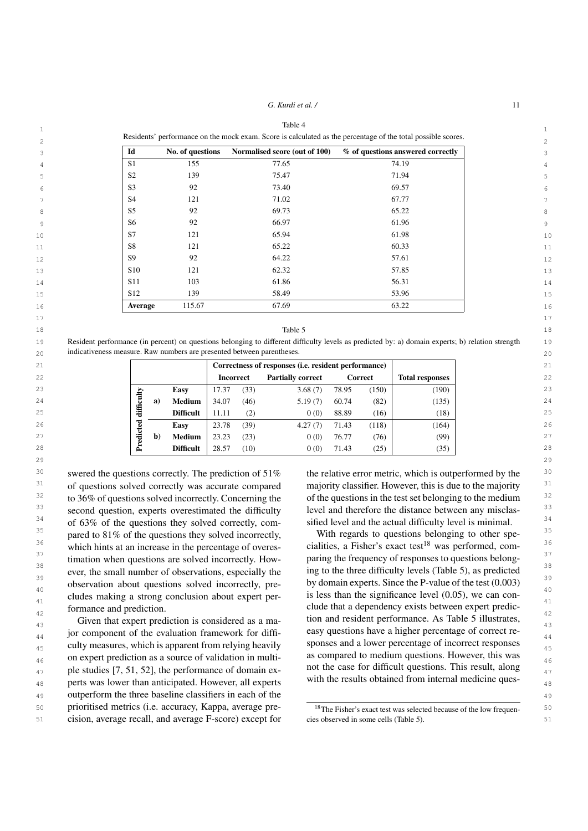### Table 4

<span id="page-10-0"></span>

|                 |                  | $1001C +$                     |                                                                                                              |  |
|-----------------|------------------|-------------------------------|--------------------------------------------------------------------------------------------------------------|--|
|                 |                  |                               | Residents' performance on the mock exam. Score is calculated as the percentage of the total possible scores. |  |
| Id              | No. of questions | Normalised score (out of 100) | % of questions answered correctly                                                                            |  |
| S <sub>1</sub>  | 155              | 77.65                         | 74.19                                                                                                        |  |
| S <sub>2</sub>  | 139              | 75.47                         | 71.94                                                                                                        |  |
| S <sub>3</sub>  | 92               | 73.40                         | 69.57                                                                                                        |  |
| S <sub>4</sub>  | 121              | 71.02                         | 67.77                                                                                                        |  |
| S <sub>5</sub>  | 92               | 69.73                         | 65.22                                                                                                        |  |
| S <sub>6</sub>  | 92               | 66.97                         | 61.96                                                                                                        |  |
| S7              | 121              | 65.94                         | 61.98                                                                                                        |  |
| S <sub>8</sub>  | 121              | 65.22                         | 60.33                                                                                                        |  |
| <b>S9</b>       | 92               | 64.22                         | 57.61                                                                                                        |  |
| <b>S10</b>      | 121              | 62.32                         | 57.85                                                                                                        |  |
| <b>S11</b>      | 103              | 61.86                         | 56.31                                                                                                        |  |
| S <sub>12</sub> | 139              | 58.49                         | 53.96                                                                                                        |  |
| Average         | 115.67           | 67.69                         | 63.22                                                                                                        |  |
|                 |                  |                               |                                                                                                              |  |

### $Table 5$  18 Table 5

<span id="page-10-2"></span>19 19 Resident performance (in percent) on questions belonging to different difficulty levels as predicted by: a) domain experts; b) relation strength  $_{20}$  indicativeness measure. Raw numbers are presented between parentheses.  $_{20}$ 

|    |    |                  |           | Correctness of responses ( <i>i.e.</i> resident performance) |                          |       |         |                        |  | 21             |
|----|----|------------------|-----------|--------------------------------------------------------------|--------------------------|-------|---------|------------------------|--|----------------|
|    |    |                  | Incorrect |                                                              | <b>Partially correct</b> |       | Correct | <b>Total responses</b> |  | 22             |
|    |    | Easy             | 17.37     | (33)                                                         | 3.68(7)                  | 78.95 | (150)   | (190)                  |  | 23             |
| £€ | a) | <b>Medium</b>    | 34.07     | (46)                                                         | 5.19(7)                  | 60.74 | (82)    | (135)                  |  | 24             |
| 泪  |    | <b>Difficult</b> | 11.11     | (2)                                                          | 0(0)                     | 88.89 | (16)    | (18)                   |  | 25             |
| ᇹ  |    | <b>Easy</b>      | 23.78     | (39)                                                         | 4.27(7)                  | 71.43 | (118)   | (164)                  |  | 26             |
| 培  | b) | <b>Medium</b>    | 23.23     | (23)                                                         | 0(0)                     | 76.77 | (76)    | (99)                   |  | 27             |
|    |    | <b>Difficult</b> | 28.57     | (10)                                                         | 0(0)                     | 71.43 | (25)    | (35)                   |  | 28             |
|    |    |                  |           |                                                              |                          |       |         |                        |  | 2 <sup>c</sup> |

<sup>30</sup> swered the questions correctly. The prediction of  $51\%$  the relative error metric, which is outperformed by the <sup>30</sup> <sup>31</sup> of questions solved correctly was accurate compared majority classifier. However, this is due to the majority <sup>31</sup> <sup>32</sup> to 36% of questions solved incorrectly. Concerning the of the questions in the test set belonging to the medium <sup>32</sup> <sup>33</sup> second question, experts overestimated the difficulty level and therefore the distance between any misclas-<sup>33</sup>  $34$  of 63% of the questions they solved correctly, com-<br>sified level and the actual difficulty level is minimal. <sup>35</sup> pared to 81% of the questions they solved incorrectly, With regards to questions belonging to other spe-<sup>35</sup> <sup>36</sup> which hints at an increase in the percentage of overes-<br>cialities, a Fisher's exact test<sup>[18](#page-10-1)</sup> was performed, com-<sup>37</sup> timation when questions are solved incorrectly. How-<br>paring the frequency of responses to questions belong-<sup>38</sup> ver, the small number of observations, especially the ing to the three difficulty levels (Table [5\)](#page-10-2), as predicted <sup>38</sup>  $\frac{39}{2}$  observation about questions solved incorrectly, pre-<br>by domain experts. Since the P-value of the test (0.003) <sup>40</sup>  $\frac{40}{10}$  cludes making a strong conclusion about expert per-<br>is less than the significance level (0.05), we can con-<sup>41</sup> cludes making a strong conclusion about expert per-<br><sup>41</sup><br>11<br>And the significance level (0.05), we can conswered the questions correctly. The prediction of 51% second question, experts overestimated the difficulty of 63% of the questions they solved correctly, compared to 81% of the questions they solved incorrectly, which hints at an increase in the percentage of overestimation when questions are solved incorrectly. However, the small number of observations, especially the observation about questions solved incorrectly, preformance and prediction.

 $43$  Given that expert prediction is considered as a ma-<br> $43$  tion and resident performance. As Table 5 illustrates,  $_{44}$  jor component of the evaluation framework for diffi-<br> $_{44}$  easy questions have a higher percentage of correct re- $_{45}$  culty measures, which is apparent from relying heavily sponses and a lower percentage of incorrect responses  $_{46}$  on expert prediction as a source of validation in multi- as compared to medium questions. However, this was  $_{47}$  ple studies [\[7,](#page-14-6) [51,](#page-16-7) [52\]](#page-16-8), the performance of domain ex-<br> $_{47}$  not the case for difficult questions. This result, along  $_{47}$  $_{48}$  perts was lower than anticipated. However, all experts with the results obtained from internal medicine ques-49 49 outperform the three baseline classifiers in each of the 50 50 50 prioritised metrics (i.e. accuracy, Kappa, average pre-<br>50 51 cision, average recall, and average F-score) except for cis observed in some cells (Table 5).

majority classifier. However, this is due to the majority of the questions in the test set belonging to the medium

 $\frac{42}{42}$  Formance and prediction.<br>
Given that expert prediction is considered as a ma-<br>
tion and resident performance. As Table [5](#page-10-2) illustrates, clude that a dependency exists between expert prediceasy questions have a higher percentage of correct responses and a lower percentage of incorrect responses as compared to medium questions. However, this was not the case for difficult questions. This result, along with the results obtained from internal medicine ques-

> <span id="page-10-1"></span><sup>18</sup>The Fisher's exact test was selected because of the low frequencies observed in some cells (Table [5\)](#page-10-2).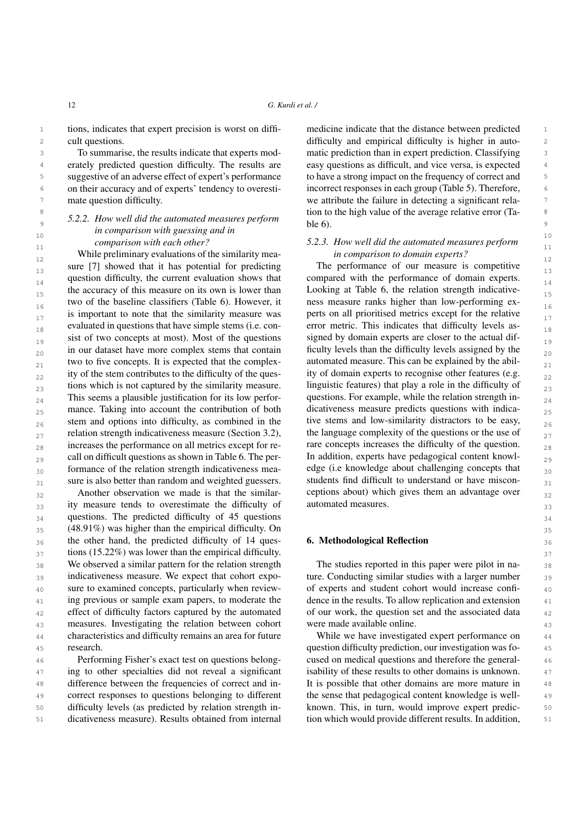cult questions.

To summarise, the results indicate that experts modmate question difficulty.

# 10 10 *in comparison with guessing and in comparison with each other?*

12 12 12 12 12 While preliminary evaluations of the similarity mea-<br> $\frac{1}{2}$  in comparison to domain experts? 13 13 sure [\[7\]](#page-14-6) showed that it has potential for predicting question difficulty, the current evaluation shows that compared with the performance of domain experts. the accuracy of this measure on its own is lower than Looking at Table 6, the relation strength indicative-two of the baseline classifiers (Table [6\)](#page-12-0). However, it ness measure ranks higher than low-performing ex- $_{17}$  is important to note that the similarity measure was perts on all prioritised metrics except for the relative  $_{17}$ evaluated in questions that have simple stems (i.e. con-<br>  $\frac{18}{18}$  error metric. This indicates that difficulty levels as-<br>  $\frac{18}{18}$  $_{19}$  sist of two concepts at most). Most of the questions signed by domain experts are closer to the actual dif- $_{20}$  in our dataset have more complex stems that contain ficulty levels than the difficulty levels assigned by the  $_{20}$ two to five concepts. It is expected that the complex-<br>automated measure. This can be explained by the abil-<br> $_{21}$  $_{22}$  ity of the stem contributes to the difficulty of the ques-<br> $_{22}$  ity of domain experts to recognise other features (e.g.  $_{22}$  $_{23}$  tions which is not captured by the similarity measure. Iinguistic features) that play a role in the difficulty of  $_{23}$  $_{24}$  This seems a plausible justification for its low perfor-questions. For example, while the relation strength in- $_{25}$  mance. Taking into account the contribution of both dicativeness measure predicts questions with indica- $_{26}$  stem and options into difficulty, as combined in the tive stems and low-similarity distractors to be easy,  $_{26}$  $_{27}$  relation strength indicativeness measure (Section 3.2), the language complexity of the questions or the use of  $_{27}$  $_{28}$  increases the performance on all metrics except for re-<br>  $_{28}$  rare concepts increases the difficulty of the question.  $_{29}$  call on difficult questions as shown in Table 6. The per-<br>In addition, experts have pedagogical content knowl- $_{30}$  formance of the relation strength indicativeness mea- edge (i.e knowledge about challenging concepts that  $_{30}$ two to five concepts. It is expected that the complex-This seems a plausible justification for its low perforcall on difficult questions as shown in Table [6.](#page-12-0) The per-

 $_{32}$  Another observation we made is that the similar- ceptions about) which gives them an advantage over  $_{32}$  $33$  ity measure tends to overestimate the difficulty of automated measures. 34 34 questions. The predicted difficulty of 45 questions 35 35 (48.91%) was higher than the empirical difficulty. On  $36$  the other hand, the predicted difficulty of 14 ques-<br> $\frac{6}{36}$  **Methodological Reflection**  $37 \text{ to } (15.22\%)$  was lower than the empirical difficulty. 38 We observed a similar pattern for the relation strength The studies reported in this paper were pilot in na-39 indicativeness measure. We expect that cohort expo- ture. Conducting similar studies with a larger number 39 <sup>40</sup> sure to examined concepts, particularly when review- of experts and student cohort would increase confi-<sup>41</sup> ing previous or sample exam papers, to moderate the dence in the results. To allow replication and extension <sup>42</sup> effect of difficulty factors captured by the automated of our work, the question set and the associated data 43 43 measures. Investigating the relation between cohort 44 44 While we have investigated expert performance on 45 45 question difficulty prediction, our investigation was foindicativeness measure. We expect that cohort expocharacteristics and difficulty remains an area for future research.

46 Performing Fisher's exact test on questions belong- cused on medical questions and therefore the general- 46 <sup>47</sup> ing to other specialties did not reveal a significant isability of these results to other domains is unknown. 48 difference between the frequencies of correct and in-<br>It is possible that other domains are more mature in 48 <sup>49</sup> correct responses to questions belonging to different the sense that pedagogical content knowledge is well-50 difficulty levels (as predicted by relation strength in-<br>
known. This, in turn, would improve expert predic-<br>
50 51 dicativeness measure). Results obtained from internal tion which would provide different results. In addition, 51 Performing Fisher's exact test on questions belongdifference between the frequencies of correct and indicativeness measure). Results obtained from internal

<sup>1</sup> tions, indicates that expert precision is worst on diffi- medicine indicate that the distance between predicted <sup>1</sup> 2 cult questions. The contract of the contract difficulty and empirical difficulty is higher in auto-3 3 matic prediction than in expert prediction. Classifying <sup>4</sup> erately predicted question difficulty. The results are easy questions as difficult, and vice versa, is expected 5 5 suggestive of an adverse effect of expert's performance <sup>6</sup> on their accuracy and of experts' tendency to overesti- incorrect responses in each group (Table 5). Therefore, <sup>7</sup> mate question difficulty. The same of the second vertice the failure in detecting a significant rela-<sup>8</sup> 5.2.2 *H* we all did the average relative error (Ta- $\frac{1}{9}$  5.2.2. How well did the automated measures perform  $\frac{1}{9}$  ble 6). medicine indicate that the distance between predicted easy questions as difficult, and vice versa, is expected to have a strong impact on the frequency of correct and incorrect responses in each group (Table [5\)](#page-10-2). Therefore,  $ble<sub>6</sub>$ 

# <sup>11</sup> 11 **11** comparison with each other? 5.2.3. How well did the automated measures perform <sup>11</sup> *in comparison to domain experts?*

 $_{31}$  sure is also better than random and weighted guessers. students find difficult to understand or have miscon-The performance of our measure is competitive compared with the performance of domain experts. Looking at Table [6,](#page-12-0) the relation strength indicativeness measure ranks higher than low-performing experts on all prioritised metrics except for the relative error metric. This indicates that difficulty levels assigned by domain experts are closer to the actual difficulty levels than the difficulty levels assigned by the ity of domain experts to recognise other features (e.g. linguistic features) that play a role in the difficulty of dicativeness measure predicts questions with indicative stems and low-similarity distractors to be easy, the language complexity of the questions or the use of rare concepts increases the difficulty of the question. edge (i.e knowledge about challenging concepts that students find difficult to understand or have misconceptions about) which gives them an advantage over automated measures.

# 6. Methodological Reflection

The studies reported in this paper were pilot in naof experts and student cohort would increase confidence in the results. To allow replication and extension of our work, the question set and the associated data were made available online.

isability of these results to other domains is unknown. the sense that pedagogical content knowledge is wellknown. This, in turn, would improve expert predic-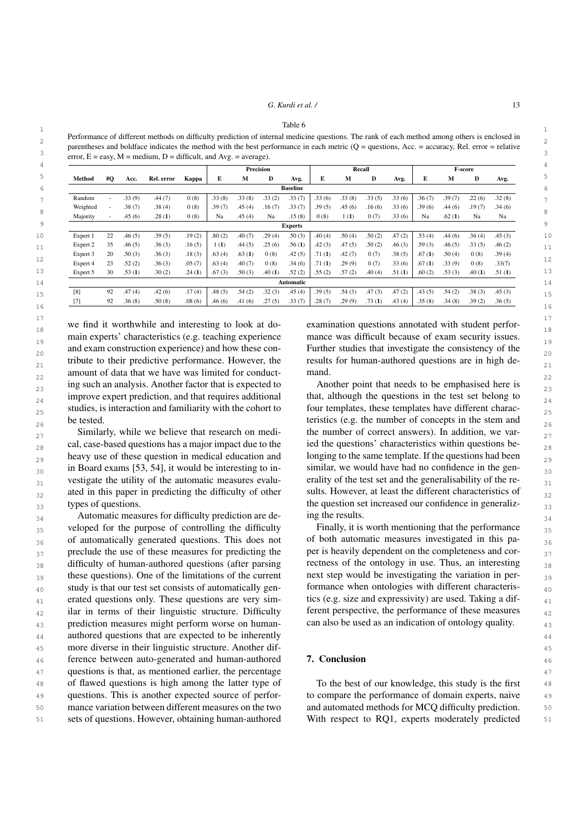*G. Kurdi et al. /* 13

Table 6

<span id="page-12-0"></span>1 1 Performance of different methods on difficulty prediction of internal medicine questions. The rank of each method among others is enclosed in  $3 \text{ error, } E = \text{easy, } M = \text{medium, } D = \text{difficult, and } Avg. = \text{average.}$ parentheses and boldface indicates the method with the best performance in each metric  $(Q = \text{questions}, Acc. = \text{accuracy}, Rel. error = \text{relative})$ 

|          |    |        |            |        | Precision |        |        |                  | Recall |        |        | <b>F-score</b> |        |        |        |        |
|----------|----|--------|------------|--------|-----------|--------|--------|------------------|--------|--------|--------|----------------|--------|--------|--------|--------|
| Method   | #Q | Acc.   | Rel. error | Kappa  | E         | м      | D      | Avg.             | E      | м      | D      | Avg.           | E      | м      | D      | Avg.   |
|          |    |        |            |        |           |        |        | <b>Baseline</b>  |        |        |        |                |        |        |        |        |
| Random   |    | .33(9) | .44(7)     | 0(8)   | .33(8)    | .33(8) | .33(2) | .33(7)           | .33(6) | .33(8) | .33(5) | .33(6)         | .36(7) | .39(7) | .22(6) | .32(8) |
| Weighted |    | .38(7) | .38(4)     | 0(8)   | .39(7)    | .45(4) | .16(7) | .33(7)           | .39(5) | .45(6) | .16(6) | .33(6)         | .39(6) | .44(6) | .19(7) | .34(6) |
| Majority |    | .45(6) | .28(1)     | 0(8)   | Na        | .45(4) | Na     | .15(8)           | 0(8)   | 1(1)   | 0(7)   | .33(6)         | Na     | .62(1) | Na     | Na     |
|          |    |        |            |        |           |        |        | <b>Experts</b>   |        |        |        |                |        |        |        |        |
| Expert 1 | 22 | .46(5) | .39(5)     | .19(2) | .80(2)    | .40(7) | .29(4) | .50(3)           | .40(4) | .50(4) | .50(2) | .47(2)         | .53(4) | .44(6) | .36(4) | .45(3) |
| Expert 2 | 35 | .46(5) | .36(3)     | .16(5) | 1(1)      | .44(5) | .25(6) | .56(1)           | .42(3) | .47(5) | .50(2) | .46(3)         | .59(3) | .46(5) | .33(5) | .46(2) |
| Expert 3 | 20 | .50(3) | .36(3)     | .18(3) | .63(4)    | .63(1) | 0(8)   | .42(5)           | .71(1) | .42(7) | 0(7)   | .38(5)         | .67(1) | .50(4) | 0(8)   | .39(4) |
| Expert 4 | 23 | .52(2) | .36(3)     | .05(7) | .63(4)    | .40(7) | 0(8)   | .34(6)           | .71(1) | .29(9) | 0(7)   | .33(6)         | .67(1) | .33(9) | 0(8)   | .33(7) |
| Expert 5 | 30 | .53(1) | .30(2)     | .24(1) | .67(3)    | .50(3) | .40(1) | .52(2)           | .55(2) | .57(2) | .40(4) | .51(1)         | .60(2) | .53(3) | .40(1) | .51(1) |
|          |    |        |            |        |           |        |        | <b>Automatic</b> |        |        |        |                |        |        |        |        |
| [8]      | 92 | .47(4) | .42(6)     | .17(4) | .48(5)    | .54(2) | .32(3) | .45(4)           | .39(5) | .54(3) | .47(3) | .47(2)         | .43(5) | .54(2) | .38(3) | .45(3) |
| $[7]$    | 92 | .36(8) | .50(8)     | .08(6) | .46(6)    | .41(6) | .27(5) | .33(7)           | .28(7) | .29(9) | .73(1) | .43(4)         | .35(8) | .34(8) | .39(2) | .36(5) |

17 de agosto de la contrada de la contrada de la contrada de la contrada de la contrada de la contrada de la c 18 18 examination questions annotated with student performain experts' characteristics (e.g. teaching experience mance was difficult because of exam security issues. 20 and exam construction experience) and how these con-<br>Further studies that investigate the consistency of the  $\frac{20}{20}$ tribute to their predictive performance. However, the results for human-authored questions are in high de- $22$  amount of data that we have was limited for conduct- mand.  $_{23}$  ing such an analysis. Another factor that is expected to  $\mu$  another point that needs to be emphasised here is  $_{23}$ 24 improve expert prediction, and that requires additional that, although the questions in the test set belong to  $\frac{24}{}$ studies, is interaction and familiarity with the cohort to four templates, these templates have different characwe find it worthwhile and interesting to look at doand exam construction experience) and how these conbe tested.

 $27$  Similarly, while we believe that research on medi-<br>the number of correct answers). In addition, we varcal, case-based questions has a major impact due to the ied the questions' characteristics within questions beheavy use of these question in medical education and longing to the same template. If the questions had been  $_{29}$  $_{30}$  in Board exams [\[53,](#page-16-9) [54\]](#page-16-10), it would be interesting to in-<br> $_{30}$  similar, we would have had no confidence in the gen- $_{31}$  vestigate the utility of the automatic measures evalu-erality of the test set and the generalisability of the re- $_{32}$  ated in this paper in predicting the difficulty of other sults. However, at least the different characteristics of  $_{32}$ Similarly, while we believe that research on meditypes of questions.

34 34 Automatic measures for difficulty prediction are de-<br>34  $_{35}$  veloped for the purpose of controlling the difficulty Finally, it is worth mentioning that the performance  $_{35}$  $36$  of automatically generated questions. This does not of both automatic measures investigated in this pa  $37$  preclude the use of these measures for predicting the per is heavily dependent on the completeness and cor- $38$  difficulty of human-authored questions (after parsing rectness of the ontology in use. Thus, an interesting  $38$  $39$  these questions). One of the limitations of the current next step would be investigating the variation in per- $_{40}$  study is that our test set consists of automatically gen-<br>formance when ontologies with different characteris- $_{41}$  erated questions only. These questions are very sim-<br>tics (e.g. size and expressivity) are used. Taking a dif- $_{42}$  ilar in terms of their linguistic structure. Difficulty ferent perspective, the performance of these measures  $_{42}$  $_{43}$  prediction measures might perform worse on human- can also be used as an indication of ontology quality. 44 44 authored questions that are expected to be inherently 45 45 more diverse in their linguistic structure. Another dif-46 ference between auto-generated and human-authored 7. Conclusion **16** and 16 47 47 questions is that, as mentioned earlier, the percentage 48 of flawed questions is high among the latter type of To the best of our knowledge, this study is the first 48 49 questions. This is another expected source of perfor- to compare the performance of domain experts, naive 49 50 mance variation between different measures on the two and automated methods for MCQ difficulty prediction. 50 51 sets of questions. However, obtaining human-authored With respect to RQ1, experts moderately predicted 51 questions. This is another expected source of perfor-

mance was difficult because of exam security issues. results for human-authored questions are in high demand.

 $26$  be tested. the number of concepts in the stem and  $26$  $\frac{33}{33}$  types of questions.  $\frac{33}{33}$  types of questions. Another point that needs to be emphasised here is that, although the questions in the test set belong to four templates, these templates have different characied the questions' characteristics within questions belonging to the same template. If the questions had been similar, we would have had no confidence in the generality of the test set and the generalisability of the results. However, at least the different characteristics of ing the results.

> Finally, it is worth mentioning that the performance of both automatic measures investigated in this paper is heavily dependent on the completeness and correctness of the ontology in use. Thus, an interesting next step would be investigating the variation in performance when ontologies with different characteristics (e.g. size and expressivity) are used. Taking a different perspective, the performance of these measures can also be used as an indication of ontology quality.

# 7. Conclusion

To the best of our knowledge, this study is the first and automated methods for MCQ difficulty prediction. With respect to RQ1, experts moderately predicted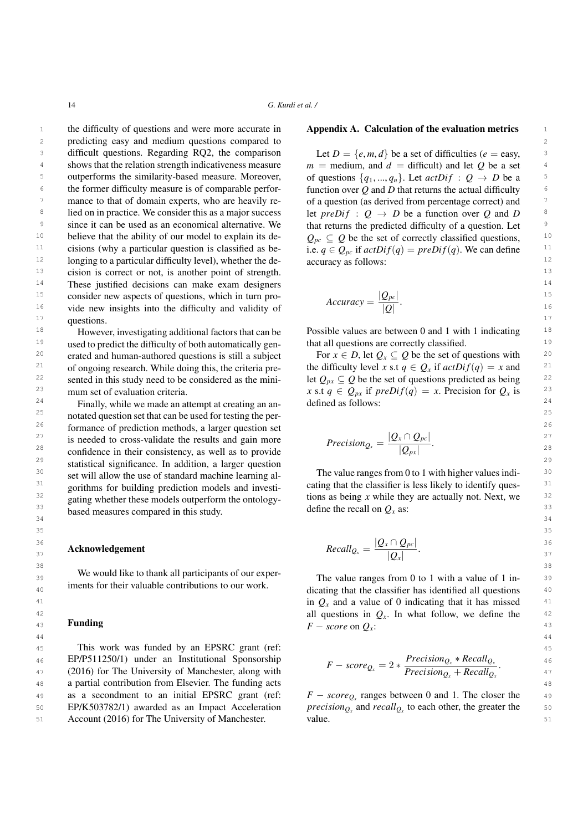<sup>1</sup> the difficulty of questions and were more accurate in **Appendix A. Calculation of the evaluation metrics** 2 2 predicting easy and medium questions compared to 3 difficult questions. Regarding RQ2, the comparison Let  $D = \{e, m, d\}$  be a set of difficulties ( $e = \text{easy}$ , 3 <sup>4</sup> shows that the relation strength indicativeness measure  $m =$  medium, and  $d =$  difficult) and let Q be a set 5 outperforms the similarity-based measure. Moreover, of questions  $\{q_1, ..., q_n\}$ . Let  $actDiff : Q \to D$  be a <sup>6</sup> the former difficulty measure is of comparable perfor-<br>function over  $Q$  and  $D$  that returns the actual difficulty <sup>7</sup> mance to that of domain experts, who are heavily re- of a question (as derived from percentage correct) and <sup>8</sup> lied on in practice. We consider this as a major success let  $preDiff : Q \to D$  be a function over Q and D <sup>9</sup> since it can be used as an economical alternative. We that returns the predicted difficulty of a question. Let <sup>10</sup> believe that the ability of our model to explain its de-<br> $Q_{nc} \subseteq Q$  be the set of correctly classified questions, <sup>11</sup> cisions (why a particular question is classified as be-<br>i.e.  $q \in Q_{nc}$  if  $actDiff(q) = preDiff(q)$ . We can define <sup>12</sup> longing to a particular difficulty level), whether the de-<br><sup>12</sup> accuracy as follows: 13 13 cision is correct or not, is another point of strength. <sup>14</sup> These justified decisions can make exam designers <sup>14</sup> <sup>15</sup> consider new aspects of questions, which in turn pro-<br> $A_{CouluQ}$   $|Q_{pc}|$ <sup>16</sup> vide new insights into the difficulty and validity of  $|Q|$  is the same of the same of the same of the same of the same of the same of the same of the same of the same of the same of the same of the same of the same  $\frac{17}{17}$  questions  $\frac{17}{17}$ the former difficulty measure is of comparable performance to that of domain experts, who are heavily requestions.

<sup>18</sup> However, investigating additional factors that can be Possible values are between 0 and 1 with 1 indicating <sup>18</sup> <sup>19</sup> used to predict the difficulty of both automatically gen-<br><sup>19</sup> used to predict the difficulty of both automatically gen-<br><sup>19</sup> 20 erated and human-authored questions is still a subject For  $x \in D$ , let  $Q_x \subseteq Q$  be the set of questions with 20 21 of ongoing research. While doing this, the criteria pre-<br>the difficulty level *x* s.t  $q \in Q_x$  if  $actDiff(q) = x$  and 21 22 sented in this study need to be considered as the mini-<br>let  $Q_{px} \subseteq Q$  be the set of questions predicted as being 22 23 mum set of evaluation criteria.  $x \text{ s.t } q \in Q_{px} \text{ if } preDiff(q) = x. \text{ Precision for } Q_x \text{ is}$ <sup>23</sup> However, investigating additional factors that can be erated and human-authored questions is still a subject of ongoing research. While doing this, the criteria presented in this study need to be considered as the minimum set of evaluation criteria.

25 25 notated question set that can be used for testing the per-<sup>26</sup> formance of prediction methods, a larger question set <sup>26</sup> <sup>27</sup> is needed to cross-validate the results and gain more  $Precision_{Q} = \frac{|Q_x \cap Q_{pc}|}{27}$ <sup>28</sup> confidence in their consistency, as well as to provide  $|Q_{px}|$   $|Q_{px}|$   $|Q_{px}|$ 29 29 statistical significance. In addition, a larger question <sup>30</sup> set will allow the use of standard machine learning al-<br>The value ranges from 0 to 1 with higher values indi- $31$  sorithms for building prediction models and investigation cating that the classifier is less likely to identify ques-<sup>32</sup> gating whether these models outperform the ontology-<br> $\frac{1}{2}$  tions as being x while they are actually not. Next, we  $\frac{33}{3}$  based measures compared in this study. define the recall on  $Q_x$  as:  $\frac{1}{34}$  34 set will allow the use of standard machine learning algorithms for building prediction models and investigating whether these models outperform the ontologybased measures compared in this study.

# Acknowledgement

38 38 We would like to thank all participants of our experiments for their valuable contributions to our work.

# Funding

45 45 This work was funded by an EPSRC grant (ref: 46 EP/P511250/1) under an Institutional Sponsorship  $F_{\text{recon}} = 2 \cdot \frac{Precision_{Q_x} * Recall_{Q_x}}{1 - 2 \cdot 1}$ 47 (2016) for The University of Manchester, along with  $\frac{1}{4} \sec^2 x = 2 \sec^2 x - 2 \sec^2 x$  Precision<sub>Ox</sub> + Recall<sub>Ox</sub> + 2. 48 48 a partial contribution from Elsevier. The funding acts as a secondment to an initial EPSRC grant (ref:  $F - score_{Q_x}$  ranges between 0 and 1. The closer the 49 50 *EP/K503782/1)* awarded as an Impact Acceleration *precision*<sub> $Q_x$ </sub> and *recall*<sub> $Q_x$ </sub> to each other, the greater the 50 51 51 Account (2016) for The University of Manchester. as a secondment to an initial EPSRC grant (ref: EP/K503782/1) awarded as an Impact Acceleration

# <span id="page-13-0"></span>Appendix A. Calculation of the evaluation metrics

Let  $D = \{e, m, d\}$  be a set of difficulties ( $e = \text{easy}$ ,  $m =$  medium, and  $d =$  difficult) and let *Q* be a set of questions  $\{q_1, ..., q_n\}$ . Let  $actDiff : Q \rightarrow D$  be a let *preDif* :  $Q \rightarrow D$  be a function over Q and D that returns the predicted difficulty of a question. Let  $Q_{pc} \subseteq Q$  be the set of correctly classified questions, i.e.  $q \in Q_{pc}$  if  $actDiff(q) = preDiff(q)$ . We can define accuracy as follows:

$$
Accuracy = \frac{|Q_{pc}|}{|Q|}.
$$

that all questions are correctly classified.

 $24$  24 Finally, while we made an attempt at creating an an- defined as follows: defined as follows:

$$
Precision_{Q_x} = \frac{|Q_x \cap Q_{pc}|}{|Q_{px}|}.
$$

$$
36 \text{ Acknowledgement} \qquad \qquad \text{Recall}_{Q_x} = \frac{|Q_x \cap Q_{pc}|}{|Q_x|}. \qquad \qquad \text{36} \qquad \text{37}
$$

<sup>39</sup> We would like to that all participants of our exper-<br>The value ranges from 0 to 1 with a value of 1 in-<br><sup>39</sup> <sup>40</sup> Thents for their valuable contributions to our work. dicating that the classifier has identified all questions  $\frac{1}{41}$  in  $Q_x$  and a value of 0 indicating that it has missed  $\frac{41}{41}$  $\frac{42}{\pi}$  all questions in  $Q_x$ . In what follow, we define the  $\frac{42}{\pi}$ **Funding**  $F - score \text{ on } Q_x$ : 43

$$
F-score_{Q_x} = 2 * \frac{Precision_{Q_x} * Recall_{Q_x}}{Precision_{Q_x} + Recall_{Q_x}}.
$$

value.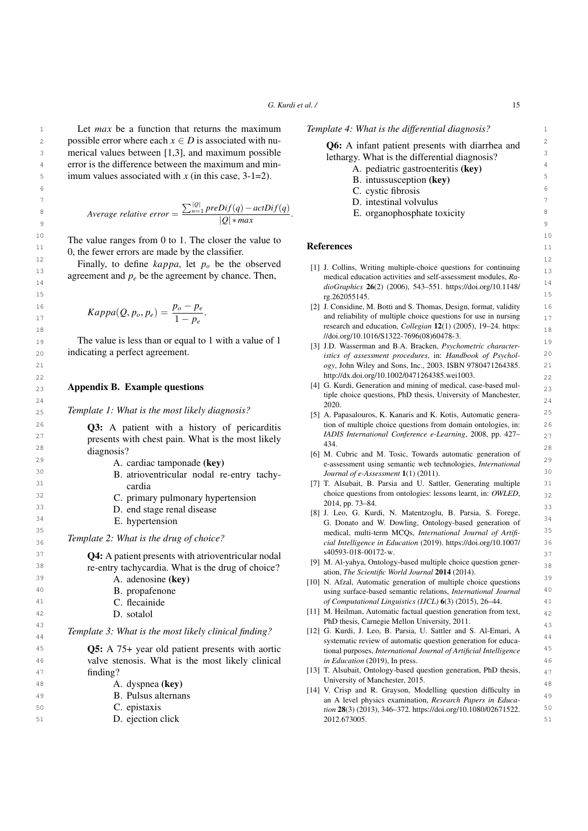1 **1** Let *max* be a function that returns the maximum *Template 4: What is the differential diagnosis?* 2 possible error where each  $x \in D$  is associated with nu-<br>**O6:** A infant partient presents with diarrham and 2  $\frac{3}{2}$  merical values between [1,3], and maximum possible  $\frac{1}{2}$  between  $\frac{1}{2}$  and  $\frac{1}{2}$  and  $\frac{1}{2}$  and  $\frac{1}{2}$  and  $\frac{1}{2}$  and  $\frac{1}{2}$  and  $\frac{1}{2}$  and  $\frac{1}{2}$  and  $\frac{1}{2}$  and  $\frac{1}{2}$  and  $\$  $\frac{4}{4}$  error is the difference between the maximum and min-<br> $\frac{4}{4}$  ediatric gastrospheritis (key) 5 imum values associated with *x* (in this case,  $3-1=2$ ).

8 8 E. organophosphate toxicity 9 9 *Average relative error* = P<sup>|</sup>*Q*<sup>|</sup> *<sup>n</sup>*=1 *preDi f*(*q*)−*actDi f*(*q*) |*Q*| ∗*max*

<sup>10</sup> The value ranges from 0 to 1. The closer the value to  $P_{\text{a}}$   $P_{\text{a}}$   $P_{\text{a}}$   $P_{\text{a}}$   $P_{\text{a}}$   $P_{\text{a}}$   $P_{\text{a}}$   $P_{\text{a}}$   $P_{\text{a}}$   $P_{\text{a}}$   $P_{\text{a}}$   $P_{\text{a}}$   $P_{\text{a}}$   $P_{\text{a}}$   $P_{\text{a}}$   $P_{\text{a}}$   $P$  $11$  11 0, the fewer errors are made by the classifier.

<sup>12</sup> 12 Finally, to define  $\kappa$ appa, let  $p_o$  be the observed  $\frac{12}{\pi}$  [1] J. Collins, Writing multiple-choice questions for continuing agreement and  $p_e$  be the agreement by chance. Then,

$$
Kappa(Q, p_o, p_e) = \frac{p_o - p_e}{1 - p_e}.
$$

19 19 The value is less than or equal to 1 with a value of 1 indicating a perfect agreement.

<span id="page-14-11"></span><span id="page-14-10"></span><span id="page-14-9"></span><span id="page-14-8"></span><span id="page-14-5"></span><span id="page-14-4"></span>*Template 1: What is the most likely diagnosis?*

| Q3: A patient with a history of pericarditis          | tion of multiple choice questions from domain ontologies, in:                                                               | Ζć             |
|-------------------------------------------------------|-----------------------------------------------------------------------------------------------------------------------------|----------------|
| presents with chest pain. What is the most likely     | IADIS International Conference e-Learning, 2008, pp. 427–                                                                   | 27             |
| diagnosis?                                            | 434.                                                                                                                        | 28             |
| A. cardiac tamponade (key)                            | [6] M. Cubric and M. Tosic, Towards automatic generation of<br>e-assessment using semantic web technologies, International  | 2 <sub>5</sub> |
| B. atrioventricular nodal re-entry tachy-             | Journal of e-Assessment $1(1)$ (2011).                                                                                      | 30             |
| cardia                                                | [7] T. Alsubait, B. Parsia and U. Sattler, Generating multiple                                                              | 31             |
| C. primary pulmonary hypertension                     | choice questions from ontologies: lessons learnt, in: <i>OWLED</i> ,                                                        | 32             |
| D. end stage renal disease                            | 2014, pp. 73–84.                                                                                                            | 33             |
|                                                       | [8] J. Leo, G. Kurdi, N. Matentzoglu, B. Parsia, S. Forege,                                                                 | 34             |
| E. hypertension                                       | G. Donato and W. Dowling, Ontology-based generation of<br>medical, multi-term MCQs, International Journal of Artifi-        | 35             |
| Template 2: What is the drug of choice?               | cial Intelligence in Education (2019). https://doi.org/10.1007/                                                             | 36             |
|                                                       | s40593-018-00172-w.                                                                                                         | 37             |
| Q4: A patient presents with atrioventricular nodal    | [9] M. Al-yahya, Ontology-based multiple choice question gener-                                                             | 38             |
| re-entry tachycardia. What is the drug of choice?     | ation, The Scientific World Journal 2014 (2014).                                                                            | 3S             |
| A. adenosine (key)                                    | [10] N. Afzal, Automatic generation of multiple choice questions                                                            |                |
| B. propafenone                                        | using surface-based semantic relations, International Journal                                                               | 40             |
| C. flecainide                                         | of Computational Linguistics (IJCL) 6(3) (2015), 26–44.                                                                     | 41             |
| D. sotalol                                            | [11] M. Heilman, Automatic factual question generation from text,<br>PhD thesis, Carnegie Mellon University, 2011.          | 42             |
| Template 3: What is the most likely clinical finding? | [12] G. Kurdi, J. Leo, B. Parsia, U. Sattler and S. Al-Emari, A.                                                            | 43             |
|                                                       | systematic review of automatic question generation for educa-                                                               | 44             |
| Q5: A 75+ year old patient presents with aortic       | tional purposes, International Journal of Artificial Intelligence                                                           | 45             |
| valve stenosis. What is the most likely clinical      | in Education (2019), In press.                                                                                              | 46             |
| finding?                                              | [13] T. Alsubait, Ontology-based question generation, PhD thesis,                                                           | 47             |
| A. dyspnea (key)                                      | University of Manchester, 2015.                                                                                             | 48             |
| <b>B.</b> Pulsus alternans                            | [14] V. Crisp and R. Grayson, Modelling question difficulty in<br>an A level physics examination, Research Papers in Educa- | 4S             |
| C. epistaxis                                          | tion 28(3) (2013), 346-372. https://doi.org/10.1080/02671522.                                                               | 50             |
| D. ejection click                                     | 2012.673005.                                                                                                                | 51             |

| Template 4: What is the differential diagnosis?         |
|---------------------------------------------------------|
| <b>O6</b> : A infant patient presents with diarrhea and |
| lethargy. What is the differential diagnosis?           |

- A. pediatric gastroenteritis (key)
- B. intussusception (key)
- 6 6 **C.** cystic fibrosis **C.**  $\frac{1}{2}$
- $\nabla |\varrho|$   $\mathbf{p}_i \cdot \mathbf{p}_i \cdot \mathbf{f}(q)$   $\alpha \cdot \mathbf{p}_i \cdot \mathbf{f}(q)$  D. intestinal volvulus
	-

# <span id="page-14-7"></span><span id="page-14-6"></span><span id="page-14-3"></span><span id="page-14-2"></span><span id="page-14-1"></span><span id="page-14-0"></span>References

- Finally, to define  $\kappa appa$ , let  $p_0$  be the observed [1] J. Collins, Writing multiple-choice questions for continuing 13 14 14 *dioGraphics* 26(2) (2006), 543–551. [https://doi.org/10.1148/](https://doi.org/10.1148/rg.262055145)  $\frac{15}{15}$  15 medical education activities and self-assessment modules, *Ra*[rg.262055145.](https://doi.org/10.1148/rg.262055145)
- 16  $\begin{array}{ccc} I_6 & I_1 \end{array}$   $\begin{array}{ccc} I_2 & I_2 \end{array}$   $\begin{array}{ccc} I_3 & I_4 \end{array}$   $\begin{array}{ccc} I_5 & I_6 \end{array}$   $\begin{array}{ccc} I_7 & I_8 \end{array}$   $\begin{array}{ccc} I_9 & I_9 \end{array}$   $\begin{array}{ccc} I_1 & I_2 \end{array}$   $\begin{array}{ccc} I_1 & I_2 \end{array}$   $\begin{array}{ccc} I_2 & I_3 \end{array}$   $\begin{array}{ccc} I_3 & I_4 \end{array}$  $\mathbf{A} \mu \mathbf{B} \mu(\mathbf{Q}, \mathbf{P}_o, \mathbf{P}_e) = \frac{1}{1 - p_o}$ . and reliability of multiple choice questions for use in nursing  $\mathbf{I}$ 18 18 research and education, *Collegian* 12(1) (2005), 19–24. [https:](https://doi.org/10.1016/S1322-7696(08)60478-3) [//doi.org/10.1016/S1322-7696\(08\)60478-3.](https://doi.org/10.1016/S1322-7696(08)60478-3)
- 20 20 *istics of assessment procedures*, in: *Handbook of Psychol-*21 21 *ogy*, John Wiley and Sons, Inc., 2003. ISBN 9780471264385. 22 22 [http://dx.doi.org/10.1002/0471264385.wei1003.](http://dx.doi.org/10.1002/0471264385.wei1003) [3] J.D. Wasserman and B.A. Bracken, *Psychometric character-*
- **23 Appendix B. Example questions 23 23 14 C.** Kurdi, Generation and mining of medical, case-based mul- $24$  2000 [4] G. Kurdi, Generation and mining of medical, case-based multiple choice questions, PhD thesis, University of Manchester, 2020.
- 25 **1** *Iemplate 1:* What is the most likely alagnosis? [5] A. Papasalouros, K. Kanaris and K. Kotis, Automatic genera-26 **103.** A patient with a history of pericarditis tion of multiple choice questions from domain ontologies, in: 26 434.
	-
	- 2014, pp. 73–84.
	- [s40593-018-00172-w.](https://doi.org/10.1007/s40593-018-00172-w)
	- ation, *The Scientific World Journal* 2014 (2014).
	-
	- PhD thesis, Carnegie Mellon University, 2011.
	-
	- University of Manchester, 2015.
	- [2012.673005.](https://doi.org/10.1080/02671522.2012.673005)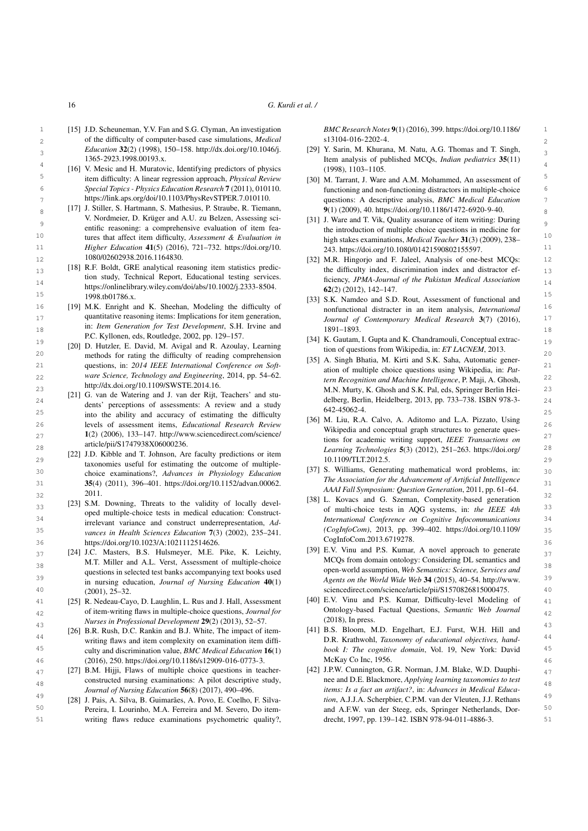- 1 [15] J.D. Scheuneman, Y.V. Fan and S.G. Clyman, An investigation BMC Research Notes 9(1) (2016), 399. https://doi.org/10.1186/ 2 2 of the difficulty of computer-based case simulations, *Medical Education* 32(2) (1998), 150–158. http://dx.doi.org/10.1046/j. [29] Y. Sarin, M. Khurana, M. Natu, A.G. Thomas and T. Singh, *Education* 32(2) (1998), 150–158. [http://dx.doi.org/10.1046/j.](http://dx.doi.org/10.1046/j.1365-2923.1998.00193.x) [1365-2923.1998.00193.x.](http://dx.doi.org/10.1046/j.1365-2923.1998.00193.x)
- <sup>5</sup> item difficulty: A linear regression approach, *Physical Review* [30] M. Tarrant, J. Ware and A.M. Mohammed, An assessment of 6 6 *Special Topics - Physics Education Research* 7 (2011), 010110. item difficulty: A linear regression approach, *Physical Review* [https://link.aps.org/doi/10.1103/PhysRevSTPER.7.010110.](https://link.aps.org/doi/10.1103/PhysRevSTPER.7.010110)
- <span id="page-15-0"></span> $8$  [17] J. Stiller, S. Hartmann, S. Mathesius, P. Straube, R. Tiemann,  $9(1)$  (2009), 40. [https://doi.org/10.1186/1472-6920-9-40.](https://doi.org/10.1186/1472-6920-9-40) 9<br>
entific reasoning: a comprehensive evaluation of item fea-<br>
the introduction of multiple choice questions in medicine for <sup>10</sup> tures that affect item difficulty, *Assessment & Evaluation in* high stakes examinations. *Medical Teacher* 31(3) (2009), 238–<sup>10</sup> 11 11 *Higher Education* 41(5) (2016), 721–732. [https://doi.org/10.](https://doi.org/10.1080/02602938.2016.1164830) [17] J. Stiller, S. Hartmann, S. Mathesius, P. Straube, R. Tiemann, V. Nordmeier, D. Krüger and A.U. zu Belzen, Assessing sci-[1080/02602938.2016.1164830.](https://doi.org/10.1080/02602938.2016.1164830)
- $13$  13 18 18. F. Boldt, GKE analytical reasoning tiem statistics predic-<br>the difficulty index, discrimination index and distractor ef-<br> $13$ 14 14 ficiency, *JPMA-Journal of the Pakistan Medical Association*  $\frac{15}{2}$  1998.tb01786.x. [33] S.K. Namdeo and S.D. Rout, Assessment of functional and  $\frac{15}{2}$ [18] R.F. Boldt, GRE analytical reasoning item statistics prediction study, Technical Report, Educational testing services. [https://onlinelibrary.wiley.com/doi/abs/10.1002/j.2333-8504.](https://onlinelibrary.wiley.com/doi/abs/10.1002/j.2333-8504.1998.tb01786.x) [1998.tb01786.x.](https://onlinelibrary.wiley.com/doi/abs/10.1002/j.2333-8504.1998.tb01786.x)
- <span id="page-15-16"></span><sup>16</sup> [19] M.K. Enright and K. Sheehan, Modeling the difficulty of **the container of the international** tistracter in an item analysis *International* <sup>16</sup> 17 17 *Journal of Contemporary Medical Research* 3(7) (2016), 18 18 in: *Item Generation for Test Development*, S.H. Irvine and quantitative reasoning items: Implications for item generation, P.C. Kyllonen, eds, Routledge, 2002, pp. 129–157.
- 20 a methods for rating the difficulty of reading comprehension  $\frac{20}{1251}$  a Single Dhotia M Visti and SV Seba Automatic gaper 21 21 questions, in: *2014 IEEE International Conference on Soft-*22 22 *ware Science, Technology and Engineering*, 2014, pp. 54–62. [20] D. Hutzler, E. David, M. Avigal and R. Azoulay, Learning [http://dx.doi.org/10.1109/SWSTE.2014.16.](http://dx.doi.org/10.1109/SWSTE.2014.16)
- <span id="page-15-3"></span>24 24 delberg, Berlin, Heidelberg, 2013, pp. 733–738. ISBN 978-3- 25 into the ability and accuracy of estimating the difficulty  $12\left(1 \times 10^{-14}\right)$  and  $1 \times 10^{-14}$  and  $1 \times 10^{-14}$  and  $1 \times 10^{-14}$  and  $1 \times 10^{-14}$  and  $1 \times 10^{-14}$  and  $1 \times 10^{-14}$  and  $1 \times 10^{-14}$  and  $1 \times 10^{-14}$  and 26 26 levels of assessment items, *Educational Research Review*  $1(2)$  (2006), 133–147. [http://www.sciencedirect.com/science/](http://www.sciencedirect.com/science/article/pii/S1747938X06000236)<br>  $27$ <br>  $1(2)$  (2006), 133–147. http://www.sciencedirect.com/science/<br>  $27$ [21] G. van de Watering and J. van der Rijt, Teachers' and students' perceptions of assessments: A review and a study [article/pii/S1747938X06000236.](http://www.sciencedirect.com/science/article/pii/S1747938X06000236)
- <span id="page-15-13"></span><span id="page-15-4"></span>29 taxonomies useful for estimating the outcome of multiple-<br>
29 taxonomies useful for estimating the outcome of multiple-<br>
29 taxonomies useful for estimating the outcome of multiple-<br>
29 taxonomies useful for estimating 30 30 [37] S. Williams, Generating mathematical word problems, in: 31 31 35(4) (2011), 396–401. [https://doi.org/10.1152/advan.00062.](https://doi.org/10.1152/advan.00062.2011) [22] J.D. Kibble and T. Johnson, Are faculty predictions or item choice examinations?, *Advances in Physiology Education* [2011.](https://doi.org/10.1152/advan.00062.2011)
- <span id="page-15-5"></span><sup>33</sup> <sup>1</sup>/<sub>2</sub>/<sub>3</sub> 3.5.1. Downing, Tinears to the vandity of locally devel-<br>oned multiple-choice tests in medical education: Construct. of multi-choice tests in AQG systems, in: *the IEEE 4th* 34 34 *International Conference on Cognitive Infocommunications* 35 35 *(CogInfoCom)*, 2013, pp. 399–402. [https://doi.org/10.1109/](https://doi.org/10.1109/CogInfoCom.2013.6719278) 36 36 [https://doi.org/10.1023/A:1021112514626.](https://doi.org/10.1023/A:1021112514626) [23] S.M. Downing, Threats to the validity of locally developed multiple-choice tests in medical education: Constructirrelevant variance and construct underrepresentation, *Advances in Health Sciences Education* 7(3) (2002), 235–241.
- <span id="page-15-15"></span><span id="page-15-6"></span> $37$  [24] J.C. Masters, B.S. Hulsmeyer, M.E. Pike, K. Leichty,  $[39]$  E.V. Vinu and P.S. Kumar, A novel approach to generate 38 **38**<br>questions in selected test banks accompanying text books used open-world assumption, *Web Semantics: Science, Services and*  $\frac{39}{2}$  in pursing education *Iournal of Nursing Education* 40(1) *Agents on the World Wide Web* 34 (2015), 40–54. [http://www.](http://www.sciencedirect.com/science/article/pii/S1570826815000475) 40 40 [sciencedirect.com/science/article/pii/S1570826815000475.](http://www.sciencedirect.com/science/article/pii/S1570826815000475) M.T. Miller and A.L. Verst, Assessment of multiple-choice questions in selected test banks accompanying text books used in nursing education, *Journal of Nursing Education* 40(1) (2001), 25–32.
- <span id="page-15-17"></span>41 41 [25] R. Nedeau-Cayo, D. Laughlin, L. Rus and J. Hall, Assessment 42 of item-writing flaws in multiple-choice questions, *Journal for* **Ontology-based Factual Questions**, *Semantic Web Journal Nurses in Professional Development* 29(2) (2013), 52–57.
- 46 46 (2016), 250. [https://doi.org/10.1186/s12909-016-0773-3.](https://doi.org/10.1186/s12909-016-0773-3) [26] B.R. Rush, D.C. Rankin and B.J. White, The impact of itemwriting flaws and item complexity on examination item difficulty and discrimination value, *BMC Medical Education* 16(1)
- <sup>48</sup> 48 constructed nursing examinations: A pilot descriptive study, here and D.E. Blackmore, *Applying learning taxonomies to test* [27] B.M. Hijji, Flaws of multiple choice questions in teacher-*Journal of Nursing Education* 56(8) (2017), 490–496.
- <span id="page-15-7"></span>50 Pereira, I. Lourinho, M.A. Ferreira and M. Severo, Do item-<br>
and A.F.W. van der Steeg, eds, Springer Netherlands, Dor-<br>
<sup>50</sup>

<span id="page-15-19"></span><span id="page-15-12"></span><span id="page-15-11"></span><span id="page-15-10"></span><span id="page-15-9"></span><span id="page-15-8"></span>*BMC Research Notes* 9(1) (2016), 399. [https://doi.org/10.1186/](https://doi.org/10.1186/s13104-016-2202-4) [s13104-016-2202-4.](https://doi.org/10.1186/s13104-016-2202-4)

- <sup>4</sup> [16] V. Mesic and H. Muratovic, Identifying predictors of physics (1998), 1103–1105. Item analysis of published MCQs, *Indian pediatrics* 35(11) (1998), 1103–1105.
- 7 https://link.aps.org/doi/10.1103/PhysRevSTPER.7.010110. **The questions: A descriptive analysis**, *BMC Medical Education* functioning and non-functioning distractors in multiple-choice
	- [31] J. Ware and T. Vik, Quality assurance of item writing: During the introduction of multiple choice questions in medicine for high stakes examinations, *Medical Teacher* 31(3) (2009), 238– 243. [https://doi.org/10.1080/01421590802155597.](https://doi.org/10.1080/01421590802155597)
- <span id="page-15-1"></span>12 12 [32] M.R. Hingorjo and F. Jaleel, Analysis of one-best MCQs: 62(2) (2012), 142–147.
	- nonfunctional distracter in an item analysis, *International* 1891–1893.
- <span id="page-15-2"></span><sup>19</sup> 19 1. Number, Conceptual extrac-<br><sup>19</sup> 19 1. The Letter of the Maria Letter Maria Letter Maria Letter Maria Letter Maria Letter Maria Letter Maria Letter Maria Letter Maria Letter Maria Letter Maria Letter Maria Letter tion of questions from Wikipedia, in: *ET LACNEM*, 2013.
- 23 23 M.N. Murty, K. Ghosh and S.K. Pal, eds, Springer Berlin Hei-[35] A. Singh Bhatia, M. Kirti and S.K. Saha, Automatic generation of multiple choice questions using Wikipedia, in: *Pattern Recognition and Machine Intelligence*, P. Maji, A. Ghosh, 642-45062-4.
- <span id="page-15-20"></span>28 28 *Learning Technologies* 5(3) (2012), 251–263. [https://doi.org/](https://doi.org/10.1109/TLT.2012.5) [36] M. Liu, R.A. Calvo, A. Aditomo and L.A. Pizzato, Using Wikipedia and conceptual graph structures to generate questions for academic writing support, *IEEE Transactions on* [10.1109/TLT.2012.5.](https://doi.org/10.1109/TLT.2012.5)
	- *The Association for the Advancement of Artificial Intelligence AAAI Fall Symposium: Question Generation*, 2011, pp. 61–64.
- <span id="page-15-14"></span>32 32 [38] L. Kovacs and G. Szeman, Complexity-based generation [CogInfoCom.2013.6719278.](https://doi.org/10.1109/CogInfoCom.2013.6719278)
	- [39] E.V. Vinu and P.S. Kumar, A novel approach to generate MCQs from domain ontology: Considering DL semantics and
	- [40] E.V. Vinu and P.S. Kumar, Difficulty-level Modeling of Ontology-based Factual Questions, *Semantic Web Journal* (2018), In press.
- <span id="page-15-22"></span><span id="page-15-21"></span><sup>43</sup> 1995 (2013), 32–37.<br>[41] B.S. Bloom, M.D. Engelhart, E.J. Furst, W.H. Hill and <sup>43</sup> [43] I.White, The impact of item-<sup>44</sup>  $\frac{44}{\pi}$  writing flaws and item complexity on examination item diffi-<br>D.R. Krathwohl, *Taxonomy of educational objectives, hand-*45 45 *book I: The cognitive domain*, Vol. 19, New York: David McKay Co Inc, 1956.
- <span id="page-15-18"></span> $_{47}$  [27] B.M. Hijji, Flaws of multiple choice questions in teacher- [42] J.P.W. Cunnington, G.R. Norman, J.M. Blake, W.D. Dauphi-<sup>49</sup> [28] J. Pais, A. Silva, B. Guimarães, A. Povo, E. Coelho, F. Silva-<br>
<sup>49</sup> *tion*, A.J.J.A. Scherpbier, C.P.M. van der Vleuten, J.J. Rethans 51 writing flaws reduce examinations psychometric quality?, drecht, 1997, pp. 139–142. ISBN 978-94-011-4886-3. nee and D.E. Blackmore, *Applying learning taxonomies to test items: Is a fact an artifact?*, in: *Advances in Medical Education*, A.J.J.A. Scherpbier, C.P.M. van der Vleuten, J.J. Rethans and A.F.W. van der Steeg, eds, Springer Netherlands, Dordrecht, 1997, pp. 139–142. ISBN 978-94-011-4886-3.